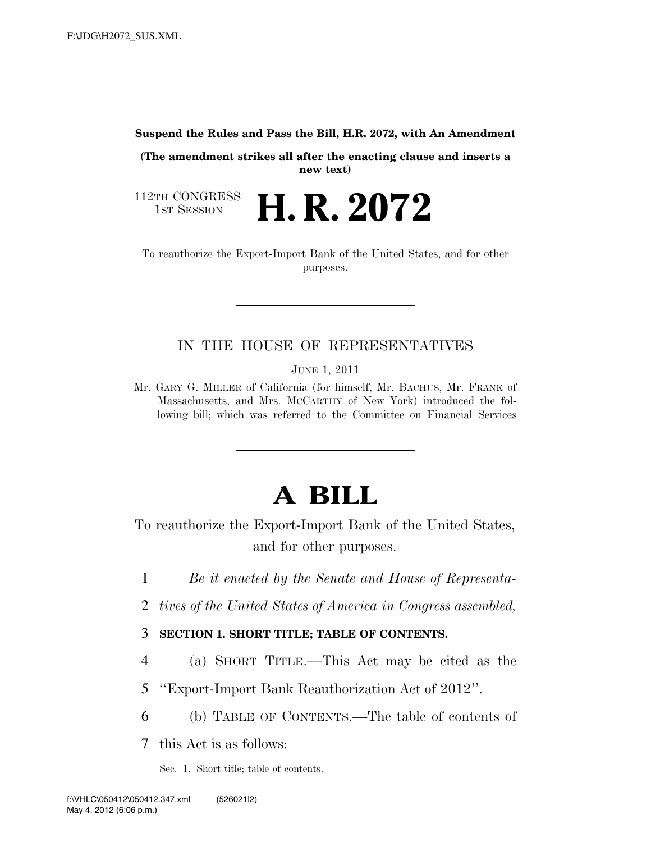#### **Suspend the Rules and Pass the Bill, H.R. 2072, with An Amendment**

**(The amendment strikes all after the enacting clause and inserts a new text)** 

H. R. 2072

112TH CONGRESS<br>1st Session

To reauthorize the Export-Import Bank of the United States, and for other purposes.

#### IN THE HOUSE OF REPRESENTATIVES

JUNE 1, 2011

Mr. GARY G. MILLER of California (for himself, Mr. BACHUS, Mr. FRANK of Massachusetts, and Mrs. MCCARTHY of New York) introduced the following bill; which was referred to the Committee on Financial Services

## **A BILL**

To reauthorize the Export-Import Bank of the United States, and for other purposes.

- 1 *Be it enacted by the Senate and House of Representa-*
- 2 *tives of the United States of America in Congress assembled,*

#### 3 **SECTION 1. SHORT TITLE; TABLE OF CONTENTS.**

- 4 (a) SHORT TITLE.—This Act may be cited as the
- 5 ''Export-Import Bank Reauthorization Act of 2012''.
- 6 (b) TABLE OF CONTENTS.—The table of contents of
- 7 this Act is as follows:

Sec. 1. Short title; table of contents.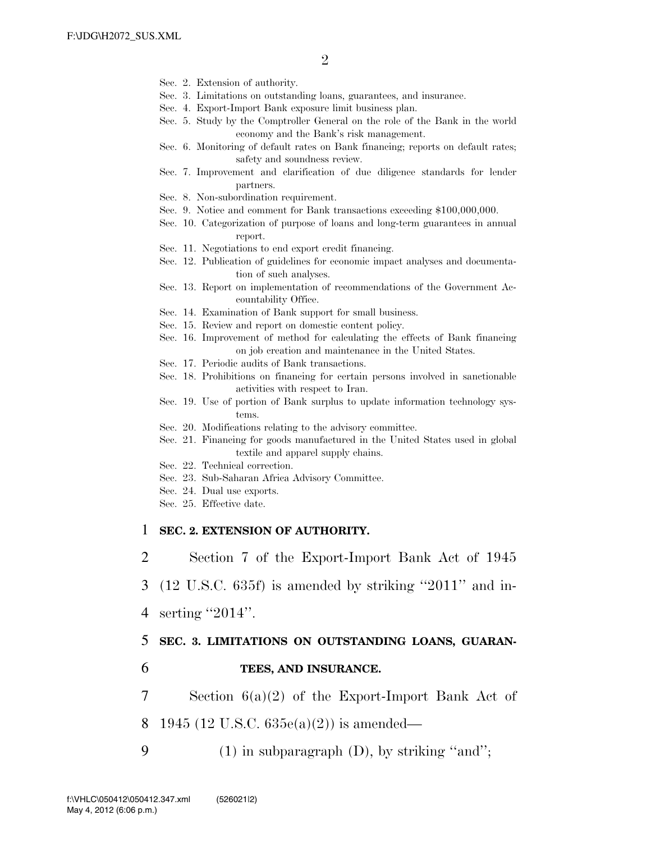- Sec. 2. Extension of authority.
- Sec. 3. Limitations on outstanding loans, guarantees, and insurance.
- Sec. 4. Export-Import Bank exposure limit business plan.
- Sec. 5. Study by the Comptroller General on the role of the Bank in the world economy and the Bank's risk management.
- Sec. 6. Monitoring of default rates on Bank financing; reports on default rates; safety and soundness review.
- Sec. 7. Improvement and clarification of due diligence standards for lender partners.
- Sec. 8. Non-subordination requirement.
- Sec. 9. Notice and comment for Bank transactions exceeding \$100,000,000.
- Sec. 10. Categorization of purpose of loans and long-term guarantees in annual report.
- Sec. 11. Negotiations to end export credit financing.
- Sec. 12. Publication of guidelines for economic impact analyses and documentation of such analyses.
- Sec. 13. Report on implementation of recommendations of the Government Accountability Office.
- Sec. 14. Examination of Bank support for small business.
- Sec. 15. Review and report on domestic content policy.
- Sec. 16. Improvement of method for calculating the effects of Bank financing on job creation and maintenance in the United States.
- Sec. 17. Periodic audits of Bank transactions.
- Sec. 18. Prohibitions on financing for certain persons involved in sanctionable activities with respect to Iran.
- Sec. 19. Use of portion of Bank surplus to update information technology systems.
- Sec. 20. Modifications relating to the advisory committee.
- Sec. 21. Financing for goods manufactured in the United States used in global textile and apparel supply chains.
- Sec. 22. Technical correction.
- Sec. 23. Sub-Saharan Africa Advisory Committee.
- Sec. 24. Dual use exports.
- Sec. 25. Effective date.

#### 1 **SEC. 2. EXTENSION OF AUTHORITY.**

- 2 Section 7 of the Export-Import Bank Act of 1945
- 3 (12 U.S.C. 635f) is amended by striking ''2011'' and in-
- 4 serting ''2014''.

#### 5 **SEC. 3. LIMITATIONS ON OUTSTANDING LOANS, GUARAN-**

- 6 **TEES, AND INSURANCE.**
- 7 Section 6(a)(2) of the Export-Import Bank Act of
- 8 1945 (12 U.S.C. 635e(a)(2)) is amended—
- 9 (1) in subparagraph  $(D)$ , by striking "and";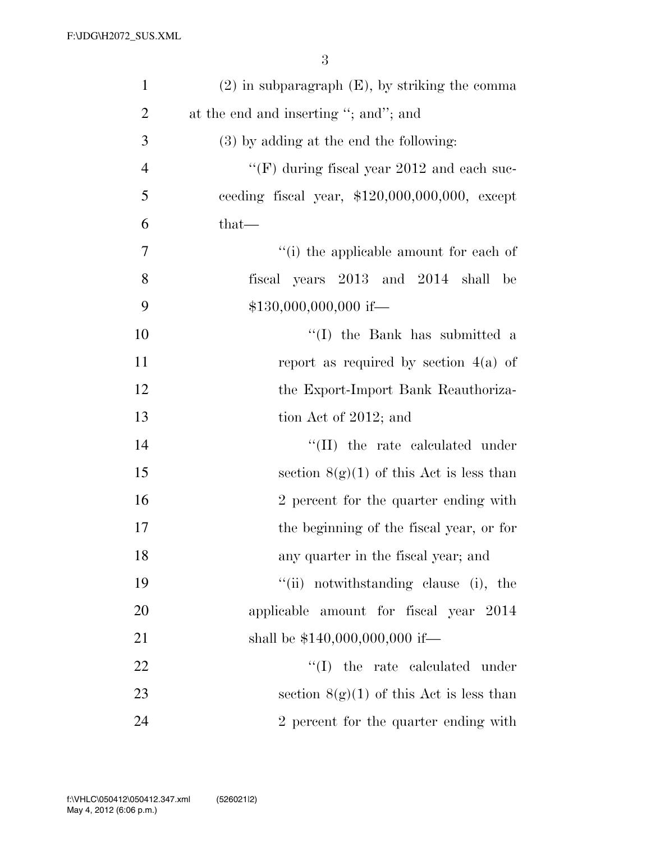| $\mathbf{1}$   | $(2)$ in subparagraph $(E)$ , by striking the comma |
|----------------|-----------------------------------------------------|
| $\overline{2}$ | at the end and inserting "; and"; and               |
| 3              | $(3)$ by adding at the end the following:           |
| $\overline{4}$ | "(F) during fiscal year $2012$ and each suc-        |
| 5              | ceeding fiscal year, $$120,000,000,000$ , except    |
| 6              | $that-$                                             |
| 7              | "(i) the applicable amount for each of              |
| 8              | fiscal years 2013 and 2014 shall be                 |
| 9              | $$130,000,000,000$ if—                              |
| 10             | $\lq\lq$ (I) the Bank has submitted a               |
| 11             | report as required by section $4(a)$ of             |
| 12             | the Export-Import Bank Reauthoriza-                 |
| 13             | tion Act of 2012; and                               |
| 14             | $\lq\lq$ (II) the rate calculated under             |
| 15             | section $8(g)(1)$ of this Act is less than          |
| 16             | 2 percent for the quarter ending with               |
| 17             | the beginning of the fiscal year, or for            |
| 18             | any quarter in the fiscal year; and                 |
| 19             | "(ii) notwithstanding clause (i), the               |
| <b>20</b>      | applicable amount for fiscal year 2014              |
| 21             | shall be $$140,000,000,000$ if—                     |
| 22             | $\lq\lq$ (I) the rate calculated under              |
| 23             | section $8(g)(1)$ of this Act is less than          |
| 24             | 2 percent for the quarter ending with               |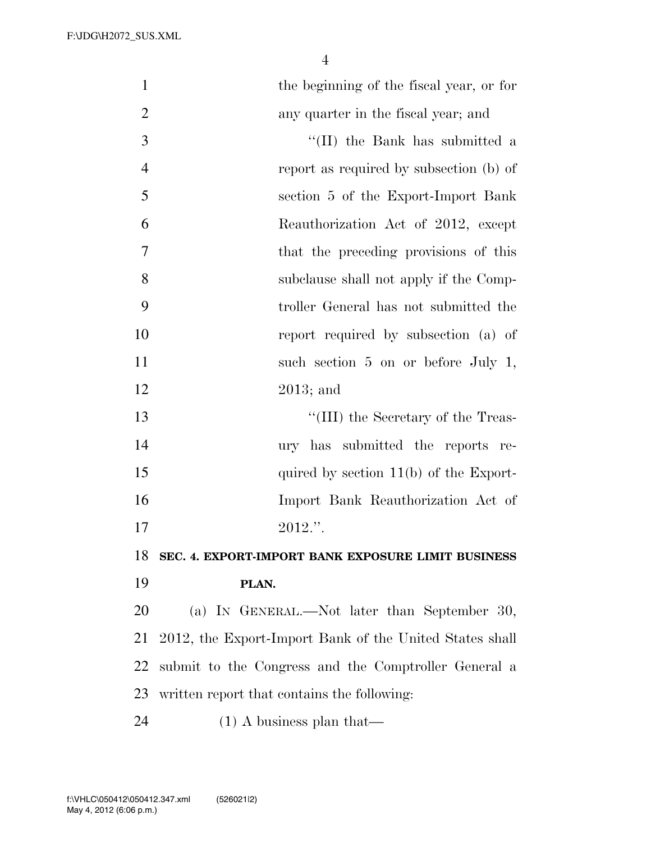| $\mathbf{1}$   | the beginning of the fiscal year, or for                |
|----------------|---------------------------------------------------------|
| $\overline{2}$ | any quarter in the fiscal year; and                     |
| 3              | "(II) the Bank has submitted a                          |
| $\overline{4}$ | report as required by subsection (b) of                 |
| 5              | section 5 of the Export-Import Bank                     |
| 6              | Reauthorization Act of 2012, except                     |
| 7              | that the preceding provisions of this                   |
| 8              | subclause shall not apply if the Comp-                  |
| 9              | troller General has not submitted the                   |
| 10             | report required by subsection (a) of                    |
| 11             | such section 5 on or before July 1,                     |
| 12             | $2013$ ; and                                            |
| 13             | "(III) the Secretary of the Treas-                      |
| 14             | ury has submitted the reports re-                       |
| 15             | quired by section $11(b)$ of the Export-                |
| 16             | Import Bank Reauthorization Act of                      |
| 17             | 2012."                                                  |
| 18             | SEC. 4. EXPORT-IMPORT BANK EXPOSURE LIMIT BUSINESS      |
| 19             | PLAN.                                                   |
| 20             | (a) IN GENERAL.—Not later than September 30,            |
| 21             | 2012, the Export-Import Bank of the United States shall |
| 22             | submit to the Congress and the Comptroller General a    |
| 23             | written report that contains the following:             |
| 24             | $(1)$ A business plan that—                             |
|                |                                                         |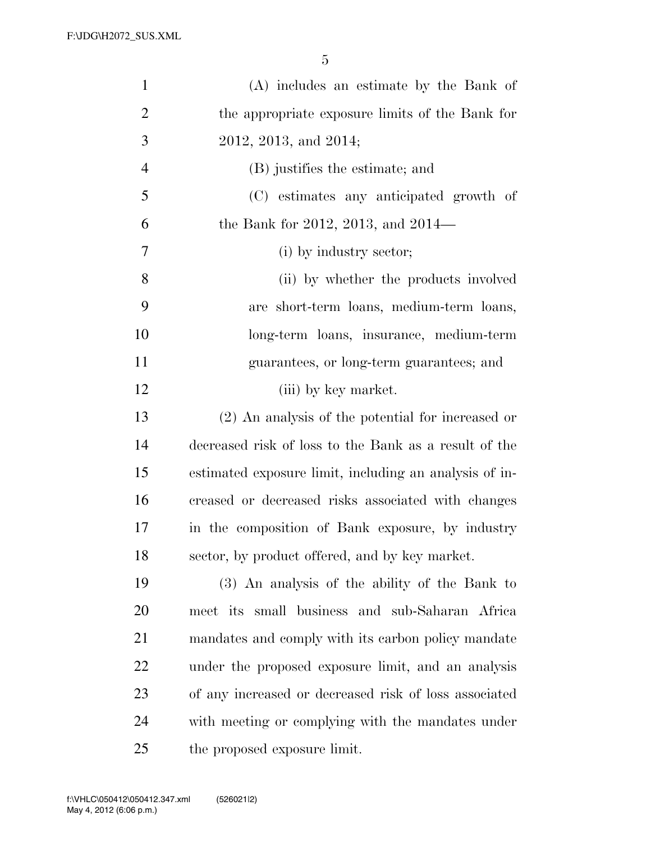| $\mathbf{1}$   | (A) includes an estimate by the Bank of                |
|----------------|--------------------------------------------------------|
| $\overline{2}$ | the appropriate exposure limits of the Bank for        |
| 3              | 2012, 2013, and 2014;                                  |
| $\overline{4}$ | (B) justifies the estimate; and                        |
| 5              | (C) estimates any anticipated growth of                |
| 6              | the Bank for 2012, 2013, and $2014-$                   |
| 7              | (i) by industry sector;                                |
| $8\,$          | (ii) by whether the products involved                  |
| 9              | are short-term loans, medium-term loans,               |
| 10             | long-term loans, insurance, medium-term                |
| 11             | guarantees, or long-term guarantees; and               |
| 12             | (iii) by key market.                                   |
| 13             | $(2)$ An analysis of the potential for increased or    |
| 14             | decreased risk of loss to the Bank as a result of the  |
| 15             | estimated exposure limit, including an analysis of in- |
| 16             | creased or decreased risks associated with changes     |
| 17             | in the composition of Bank exposure, by industry       |
| 18             | sector, by product offered, and by key market.         |
| 19             | (3) An analysis of the ability of the Bank to          |
| 20             | meet its small business and sub-Saharan Africa         |
| 21             | mandates and comply with its carbon policy mandate     |
| 22             | under the proposed exposure limit, and an analysis     |
| 23             | of any increased or decreased risk of loss associated  |
| 24             | with meeting or complying with the mandates under      |
| 25             | the proposed exposure limit.                           |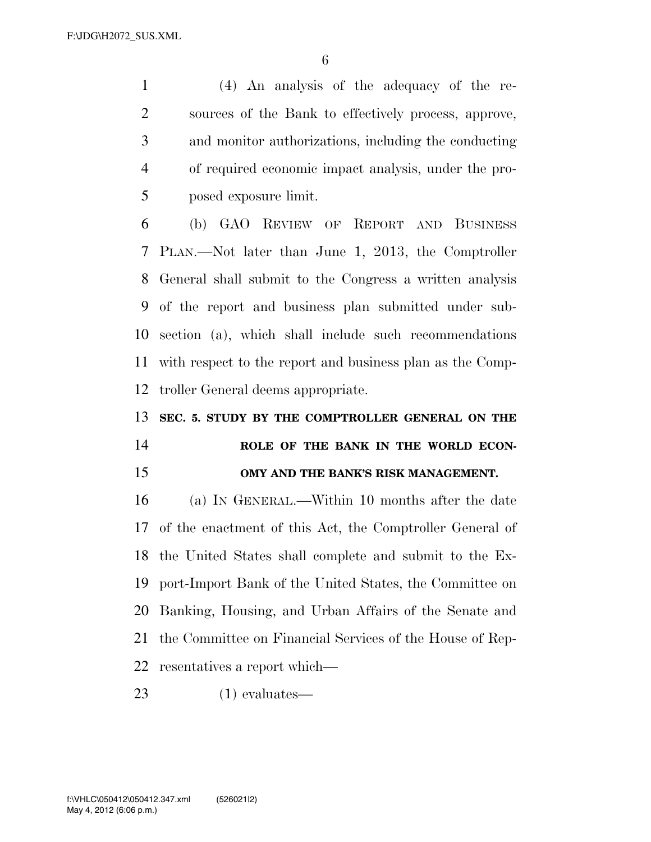(4) An analysis of the adequacy of the re- sources of the Bank to effectively process, approve, and monitor authorizations, including the conducting of required economic impact analysis, under the pro-posed exposure limit.

 (b) GAO REVIEW OF REPORT AND BUSINESS PLAN.—Not later than June 1, 2013, the Comptroller General shall submit to the Congress a written analysis of the report and business plan submitted under sub- section (a), which shall include such recommendations with respect to the report and business plan as the Comp-troller General deems appropriate.

# **SEC. 5. STUDY BY THE COMPTROLLER GENERAL ON THE**

## **ROLE OF THE BANK IN THE WORLD ECON-OMY AND THE BANK'S RISK MANAGEMENT.**

 (a) IN GENERAL.—Within 10 months after the date of the enactment of this Act, the Comptroller General of the United States shall complete and submit to the Ex- port-Import Bank of the United States, the Committee on Banking, Housing, and Urban Affairs of the Senate and the Committee on Financial Services of the House of Rep-resentatives a report which—

(1) evaluates—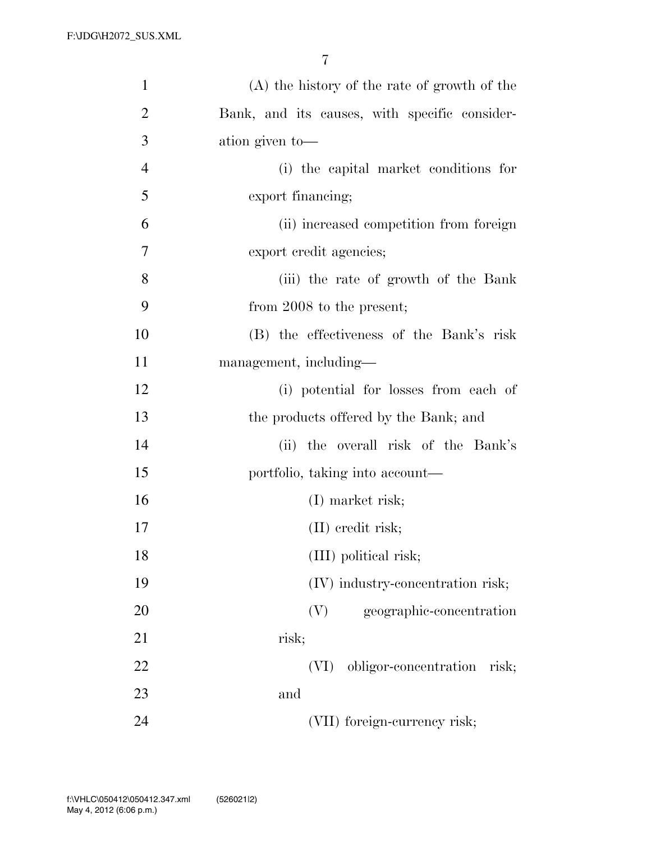| $\mathbf{1}$   | $(A)$ the history of the rate of growth of the |
|----------------|------------------------------------------------|
| $\overline{2}$ | Bank, and its causes, with specific consider-  |
| 3              | ation given to-                                |
| $\overline{4}$ | (i) the capital market conditions for          |
| 5              | export financing;                              |
| 6              | (ii) increased competition from foreign        |
| 7              | export credit agencies;                        |
| 8              | (iii) the rate of growth of the Bank           |
| 9              | from 2008 to the present;                      |
| 10             | (B) the effectiveness of the Bank's risk       |
| 11             | management, including—                         |
| 12             | (i) potential for losses from each of          |
| 13             | the products offered by the Bank; and          |
| 14             | the overall risk of the Bank's<br>(ii)         |
| 15             | portfolio, taking into account—                |
| 16             | $(I)$ market risk;                             |
| 17             | $(II)$ credit risk;                            |
| 18             | (III) political risk;                          |
| 19             | (IV) industry-concentration risk;              |
| 20             | (V)<br>geographic-concentration                |
| 21             | risk;                                          |
| 22             | (VI) obligor-concentration risk;               |
| 23             | and                                            |
| 24             | (VII) foreign-currency risk;                   |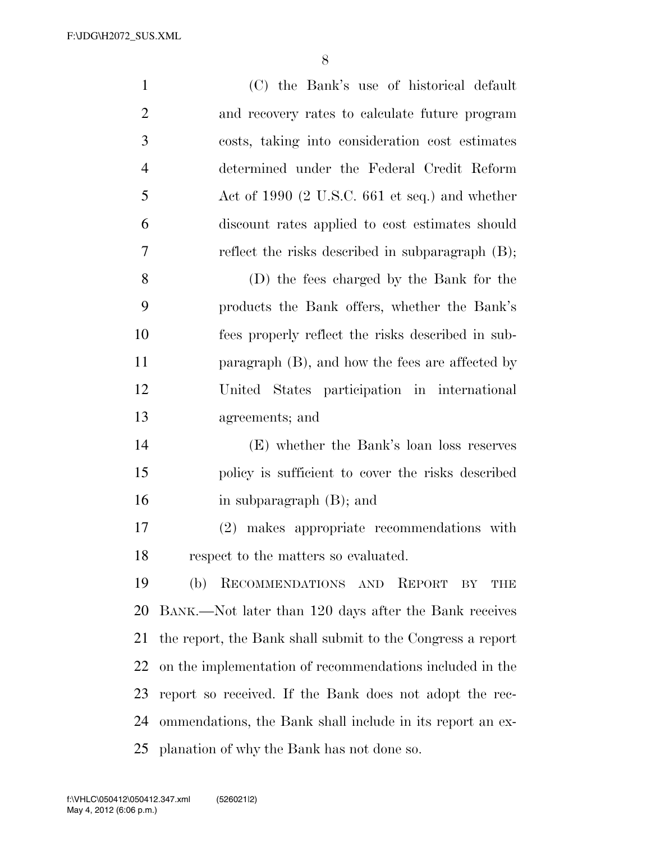F:\JDG\H2072\_SUS.XML

 (C) the Bank's use of historical default and recovery rates to calculate future program costs, taking into consideration cost estimates determined under the Federal Credit Reform Act of 1990 (2 U.S.C. 661 et seq.) and whether discount rates applied to cost estimates should 7 reflect the risks described in subparagraph (B); (D) the fees charged by the Bank for the products the Bank offers, whether the Bank's fees properly reflect the risks described in sub-11 paragraph (B), and how the fees are affected by United States participation in international agreements; and (E) whether the Bank's loan loss reserves policy is sufficient to cover the risks described in subparagraph (B); and (2) makes appropriate recommendations with respect to the matters so evaluated. (b) RECOMMENDATIONS AND REPORT BY THE BANK.—Not later than 120 days after the Bank receives

 the report, the Bank shall submit to the Congress a report on the implementation of recommendations included in the report so received. If the Bank does not adopt the rec- ommendations, the Bank shall include in its report an ex-planation of why the Bank has not done so.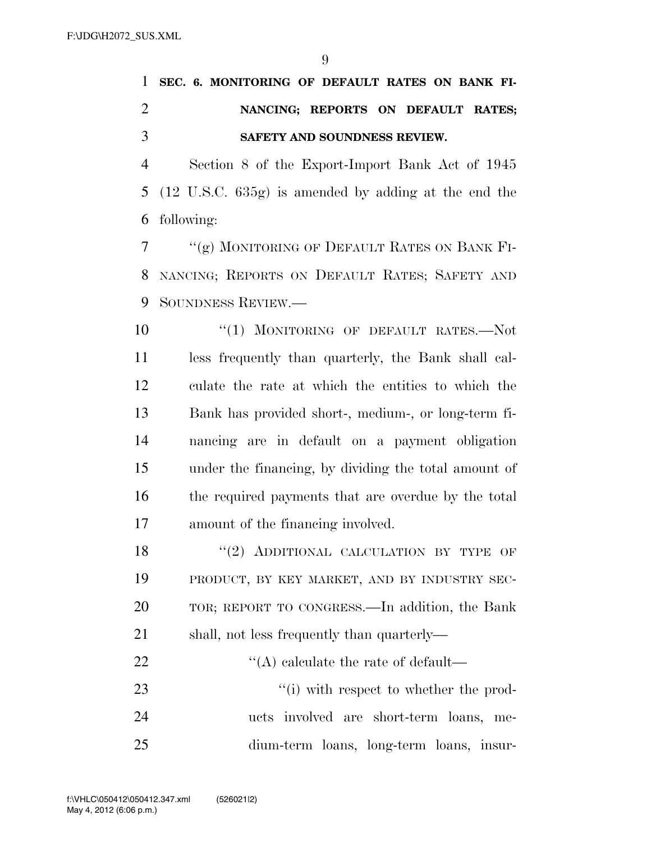## **SEC. 6. MONITORING OF DEFAULT RATES ON BANK FI- NANCING; REPORTS ON DEFAULT RATES; SAFETY AND SOUNDNESS REVIEW.**

 Section 8 of the Export-Import Bank Act of 1945 (12 U.S.C. 635g) is amended by adding at the end the following:

 "(g) MONITORING OF DEFAULT RATES ON BANK FI- NANCING; REPORTS ON DEFAULT RATES; SAFETY AND SOUNDNESS REVIEW.—

 ''(1) MONITORING OF DEFAULT RATES.—Not less frequently than quarterly, the Bank shall cal- culate the rate at which the entities to which the Bank has provided short-, medium-, or long-term fi- nancing are in default on a payment obligation under the financing, by dividing the total amount of 16 the required payments that are overdue by the total amount of the financing involved.

18 "(2) ADDITIONAL CALCULATION BY TYPE OF PRODUCT, BY KEY MARKET, AND BY INDUSTRY SEC- TOR; REPORT TO CONGRESS.—In addition, the Bank shall, not less frequently than quarterly—

 $\langle (A) \rangle$  calculate the rate of default—  $\frac{1}{1}$  with respect to whether the prod- ucts involved are short-term loans, me-dium-term loans, long-term loans, insur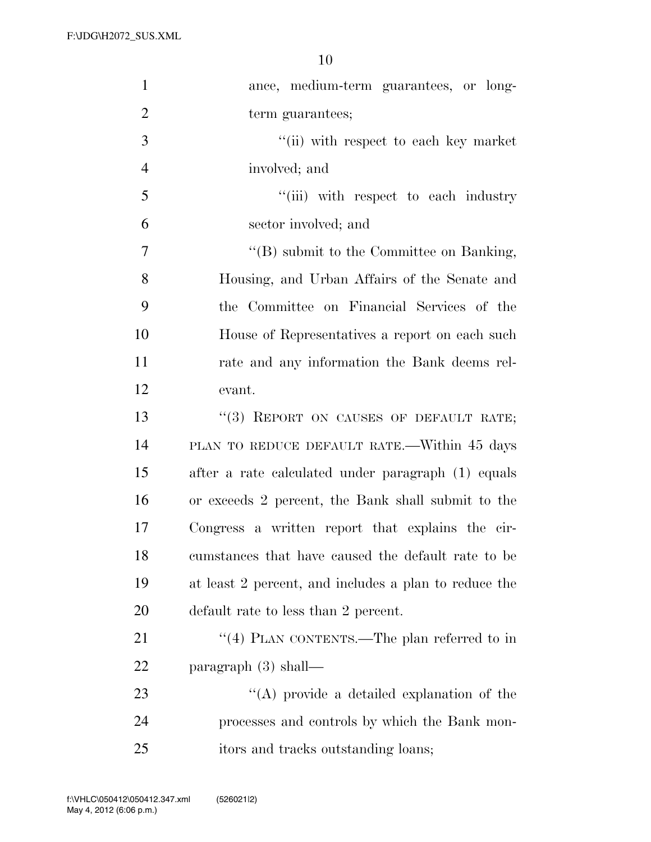F:\JDG\H2072\_SUS.XML

| $\mathbf{1}$   | ance, medium-term guarantees, or long-                |
|----------------|-------------------------------------------------------|
| $\overline{2}$ | term guarantees;                                      |
| 3              | "(ii) with respect to each key market                 |
| $\overline{4}$ | involved; and                                         |
| 5              | "(iii) with respect to each industry                  |
| 6              | sector involved; and                                  |
| $\overline{7}$ | $\lq\lq$ submit to the Committee on Banking,          |
| 8              | Housing, and Urban Affairs of the Senate and          |
| 9              | the Committee on Financial Services of the            |
| 10             | House of Representatives a report on each such        |
| 11             | rate and any information the Bank deems rel-          |
| 12             | evant.                                                |
| 13             | "(3) REPORT ON CAUSES OF DEFAULT RATE;                |
| 14             | PLAN TO REDUCE DEFAULT RATE.—Within 45 days           |
| 15             | after a rate calculated under paragraph (1) equals    |
| 16             | or exceeds 2 percent, the Bank shall submit to the    |
| 17             | Congress a written report that explains the cir-      |
| 18             | cumstances that have caused the default rate to be    |
| 19             | at least 2 percent, and includes a plan to reduce the |
| 20             | default rate to less than 2 percent.                  |
| 21             | "(4) PLAN CONTENTS.—The plan referred to in           |
| 22             | paragraph $(3)$ shall—                                |
| 23             | "(A) provide a detailed explanation of the            |
| 24             | processes and controls by which the Bank mon-         |
| 25             | itors and tracks outstanding loans;                   |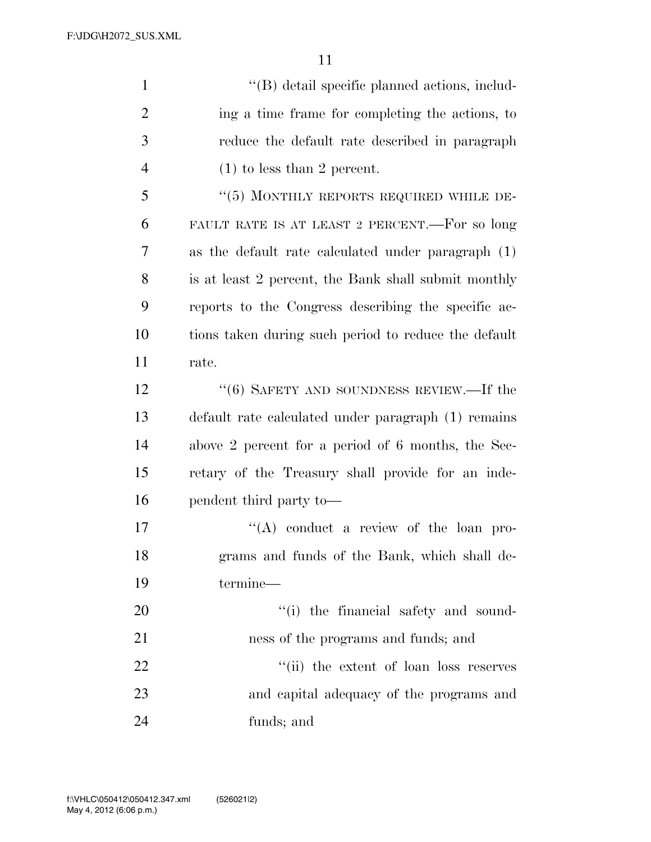F:\JDG\H2072\_SUS.XML

| $\mathbf{1}$   | "(B) detail specific planned actions, includ-        |
|----------------|------------------------------------------------------|
| $\overline{2}$ | ing a time frame for completing the actions, to      |
| 3              | reduce the default rate described in paragraph       |
| $\overline{4}$ | $(1)$ to less than 2 percent.                        |
| 5              | "(5) MONTHLY REPORTS REQUIRED WHILE DE-              |
| 6              | FAULT RATE IS AT LEAST 2 PERCENT.—For so long        |
| 7              | as the default rate calculated under paragraph $(1)$ |
| 8              | is at least 2 percent, the Bank shall submit monthly |
| 9              | reports to the Congress describing the specific ac-  |
| 10             | tions taken during such period to reduce the default |
| 11             | rate.                                                |
| 12             | $\cdot\cdot$ (6) SAFETY AND SOUNDNESS REVIEW.—If the |
| 13             | default rate calculated under paragraph (1) remains  |
| 14             | above 2 percent for a period of 6 months, the Sec-   |
| 15             | retary of the Treasury shall provide for an inde-    |
| 16             | pendent third party to—                              |
| 17             | $\lq\lq$ conduct a review of the loan pro-           |
| 18             | grams and funds of the Bank, which shall de-         |
| 19             | termine-                                             |
| 20             | "(i) the financial safety and sound-                 |
| 21             | ness of the programs and funds; and                  |
| 22             | "(ii) the extent of loan loss reserves               |
| 23             | and capital adequacy of the programs and             |
| 24             | funds; and                                           |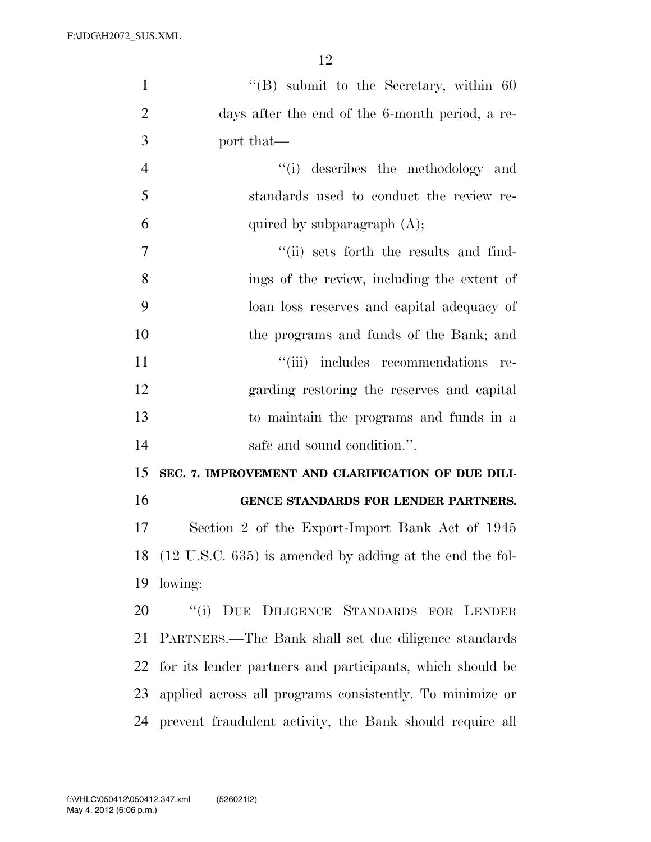| $\mathbf{1}$   | "(B) submit to the Secretary, within 60                     |
|----------------|-------------------------------------------------------------|
| $\overline{2}$ | days after the end of the 6-month period, a re-             |
| 3              | port that—                                                  |
| $\overline{4}$ | "(i) describes the methodology and                          |
| 5              | standards used to conduct the review re-                    |
| 6              | quired by subparagraph $(A)$ ;                              |
| 7              | "(ii) sets forth the results and find-                      |
| 8              | ings of the review, including the extent of                 |
| 9              | loan loss reserves and capital adequacy of                  |
| 10             | the programs and funds of the Bank; and                     |
| 11             | "(iii) includes recommendations<br>re-                      |
| 12             | garding restoring the reserves and capital                  |
| 13             | to maintain the programs and funds in a                     |
| 14             | safe and sound condition.".                                 |
| 15             | SEC. 7. IMPROVEMENT AND CLARIFICATION OF DUE DILI-          |
| 16             | GENCE STANDARDS FOR LENDER PARTNERS.                        |
| 17             | Section 2 of the Export-Import Bank Act of 1945             |
|                | 18 (12 U.S.C. 635) is amended by adding at the end the fol- |
| 19             | lowing:                                                     |
| 20             | ``(i)<br>DUE DILIGENCE STANDARDS FOR LENDER                 |
| 21             | PARTNERS.—The Bank shall set due diligence standards        |
| 22             | for its lender partners and participants, which should be   |
| 23             | applied across all programs consistently. To minimize or    |
| 24             | prevent fraudulent activity, the Bank should require all    |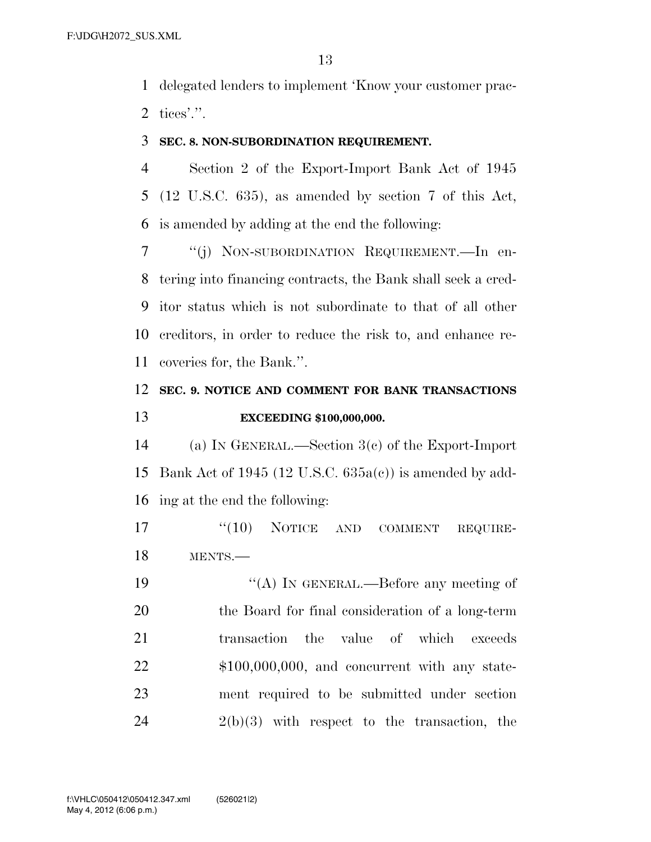delegated lenders to implement 'Know your customer prac-tices'.''.

#### **SEC. 8. NON-SUBORDINATION REQUIREMENT.**

 Section 2 of the Export-Import Bank Act of 1945 (12 U.S.C. 635), as amended by section 7 of this Act, is amended by adding at the end the following:

 ''(j) NON-SUBORDINATION REQUIREMENT.—In en- tering into financing contracts, the Bank shall seek a cred- itor status which is not subordinate to that of all other creditors, in order to reduce the risk to, and enhance re-coveries for, the Bank.''.

### **SEC. 9. NOTICE AND COMMENT FOR BANK TRANSACTIONS EXCEEDING \$100,000,000.**

 (a) IN GENERAL.—Section 3(c) of the Export-Import Bank Act of 1945 (12 U.S.C. 635a(c)) is amended by add-ing at the end the following:

17 "(10) NOTICE AND COMMENT REQUIRE-MENTS.—

19 "(A) In GENERAL.—Before any meeting of the Board for final consideration of a long-term transaction the value of which exceeds \$100,000,000, and concurrent with any state- ment required to be submitted under section  $24 \t2(b)(3)$  with respect to the transaction, the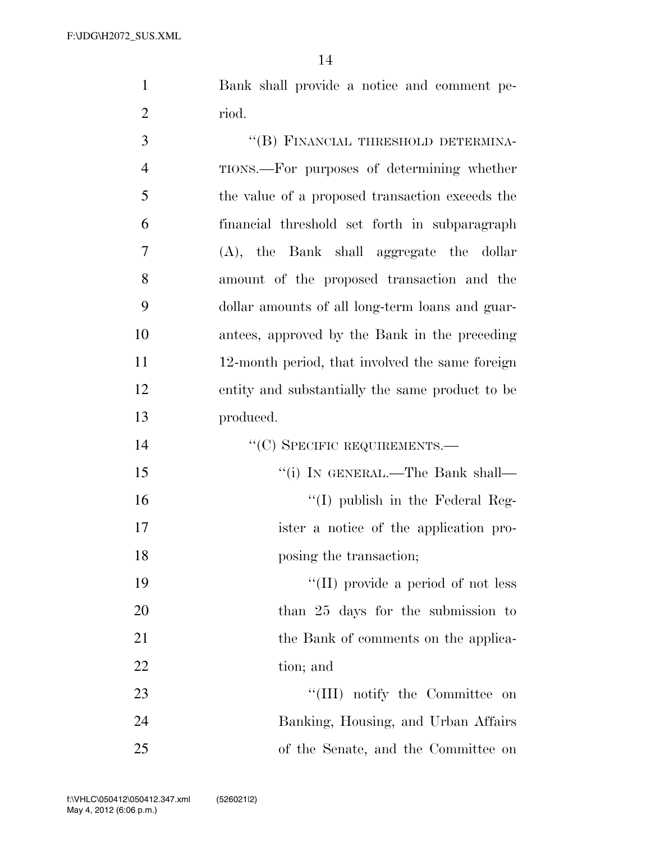1 Bank shall provide a notice and comment pe-2 riod.

3 "(B) FINANCIAL THRESHOLD DETERMINA- TIONS.—For purposes of determining whether the value of a proposed transaction exceeds the financial threshold set forth in subparagraph (A), the Bank shall aggregate the dollar amount of the proposed transaction and the dollar amounts of all long-term loans and guar- antees, approved by the Bank in the preceding 11 12-month period, that involved the same foreign entity and substantially the same product to be produced.  $C$  SPECIFIC REQUIREMENTS.— 15 ''(i) IN GENERAL.—The Bank shall— 16 ''(I) publish in the Federal Reg-

17 ister a notice of the application pro-18 posing the transaction;

19 ''(II) provide a period of not less 20 than 25 days for the submission to 21 the Bank of comments on the applica-22 tion; and

23 ''(III) notify the Committee on 24 Banking, Housing, and Urban Affairs 25 of the Senate, and the Committee on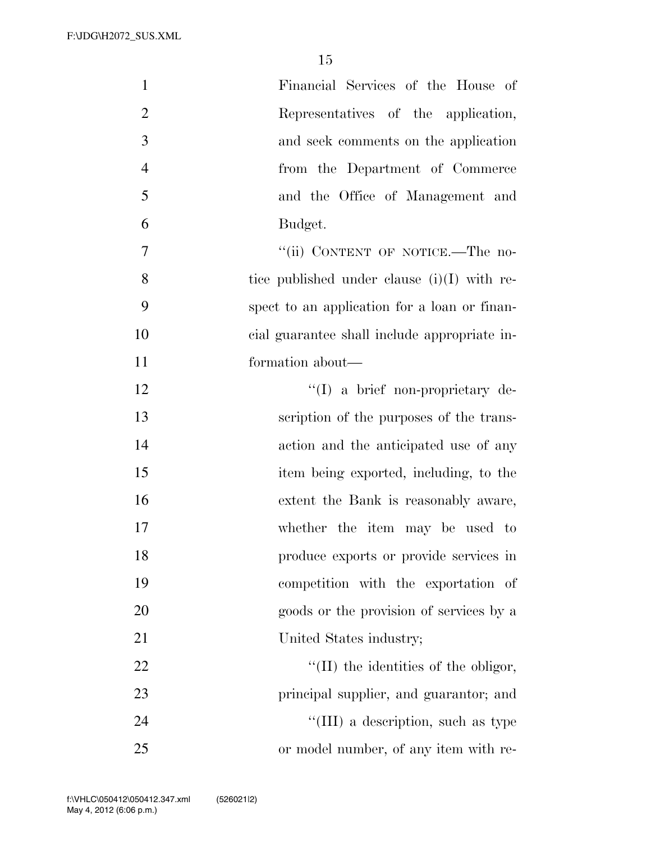| $\mathbf{1}$   | Financial Services of the House of            |
|----------------|-----------------------------------------------|
| $\overline{2}$ | Representatives of the application,           |
| 3              | and seek comments on the application          |
| $\overline{4}$ | from the Department of Commerce               |
| 5              | and the Office of Management and              |
| 6              | Budget.                                       |
| 7              | "(ii) CONTENT OF NOTICE.—The no-              |
| 8              | tice published under clause $(i)(I)$ with re- |
| 9              | spect to an application for a loan or finan-  |
| 10             | cial guarantee shall include appropriate in-  |
| 11             | formation about—                              |
| 12             | "(I) a brief non-proprietary de-              |
| 13             | scription of the purposes of the trans-       |
| 14             | action and the anticipated use of any         |
| 15             | item being exported, including, to the        |
| 16             | extent the Bank is reasonably aware,          |
| 17             | whether the item may be used to               |
| 18             | produce exports or provide services in        |
| 19             | competition with the exportation of           |
| 20             | goods or the provision of services by a       |
| 21             | United States industry;                       |
| 22             | $\lq\lq$ (II) the identities of the obligor,  |
| 23             | principal supplier, and guarantor; and        |
| 24             | "(III) a description, such as type            |
| 25             | or model number, of any item with re-         |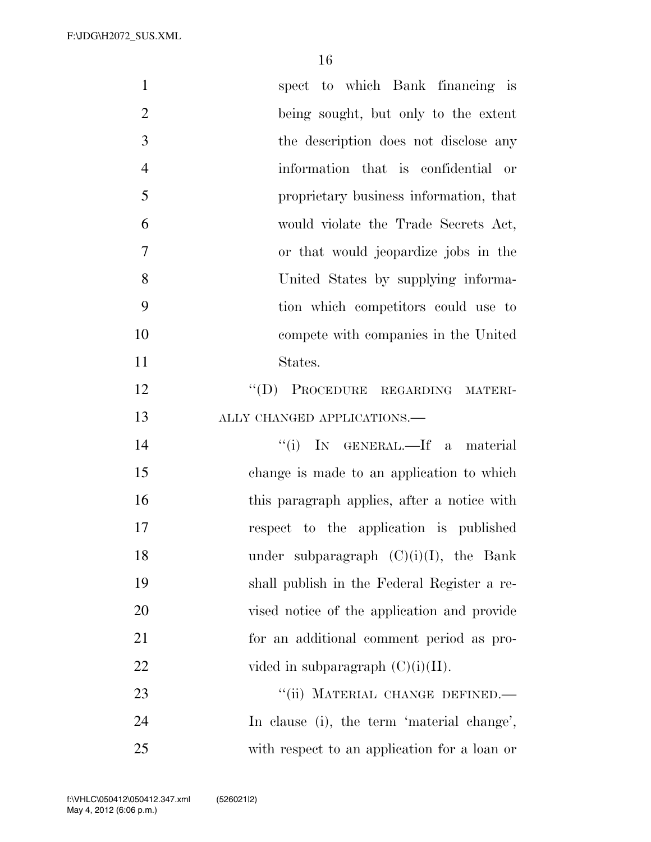| $\mathbf{1}$   | spect to which Bank financing is             |
|----------------|----------------------------------------------|
| $\overline{2}$ | being sought, but only to the extent         |
| 3              | the description does not disclose any        |
| $\overline{4}$ | information that is confidential or          |
| 5              | proprietary business information, that       |
| 6              | would violate the Trade Secrets Act,         |
| 7              | or that would jeopardize jobs in the         |
| 8              | United States by supplying informa-          |
| 9              | tion which competitors could use to          |
| 10             | compete with companies in the United         |
| 11             | States.                                      |
| 12             | "(D) PROCEDURE REGARDING MATERI-             |
| 13             | ALLY CHANGED APPLICATIONS.                   |
| 14             | "(i) IN GENERAL.—If a material               |
| 15             | change is made to an application to which    |
| 16             | this paragraph applies, after a notice with  |
| 17             | respect to the application is published      |
| 18             | under subparagraph $(C)(i)(I)$ , the Bank    |
| 19             | shall publish in the Federal Register a re-  |
| 20             | vised notice of the application and provide  |
| 21             | for an additional comment period as pro-     |
| 22             | vided in subparagraph $(C)(i)(II)$ .         |
| 23             | "(ii) MATERIAL CHANGE DEFINED.-              |
| 24             | In clause (i), the term 'material change',   |
| 25             | with respect to an application for a loan or |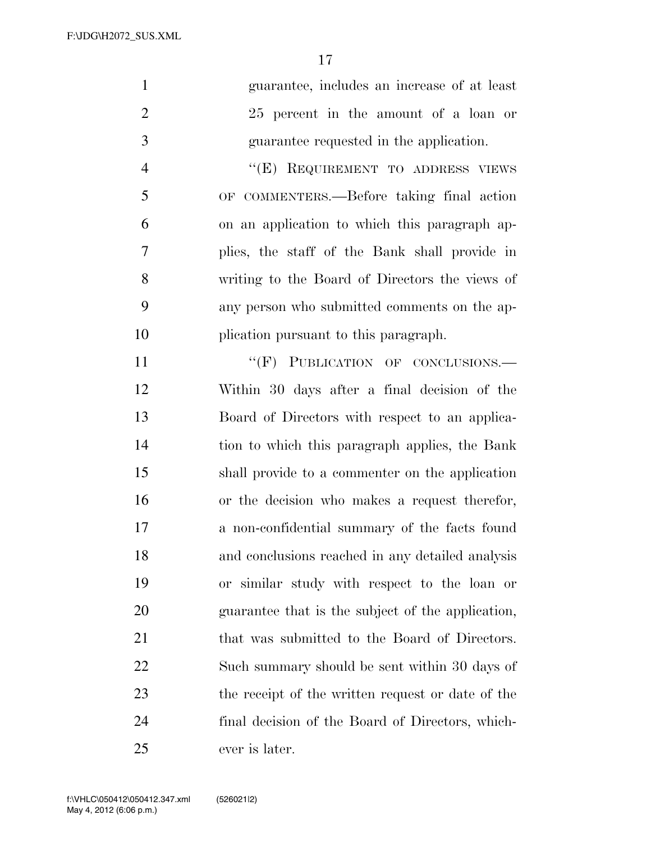F:\JDG\H2072\_SUS.XML

| 1              | guarantee, includes an increase of at least    |
|----------------|------------------------------------------------|
| 2              | 25 percent in the amount of a loan or          |
| 3              | guarantee requested in the application.        |
| $\overline{4}$ | "(E) REQUIREMENT TO ADDRESS VIEWS              |
| 5              | OF COMMENTERS.—Before taking final action      |
| 6              | on an application to which this paragraph ap-  |
| 7              | plies, the staff of the Bank shall provide in  |
| 8              | writing to the Board of Directors the views of |
| 9              | any person who submitted comments on the ap-   |
| 10             | plication pursuant to this paragraph.          |
| 11             | PUBLICATION OF CONCLUSIONS.<br>``(F)           |
|                |                                                |

 Within 30 days after a final decision of the Board of Directors with respect to an applica- tion to which this paragraph applies, the Bank shall provide to a commenter on the application or the decision who makes a request therefor, a non-confidential summary of the facts found and conclusions reached in any detailed analysis or similar study with respect to the loan or guarantee that is the subject of the application, 21 that was submitted to the Board of Directors. Such summary should be sent within 30 days of 23 the receipt of the written request or date of the final decision of the Board of Directors, which-ever is later.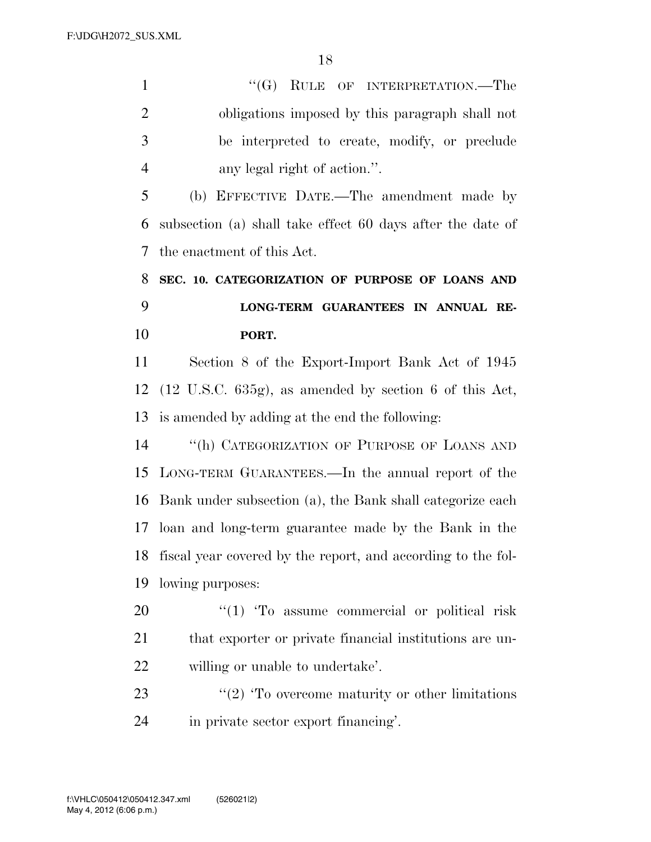F:\JDG\H2072\_SUS.XML

1 "'(G) RULE OF INTERPRETATION.—The obligations imposed by this paragraph shall not be interpreted to create, modify, or preclude any legal right of action.''.

 (b) EFFECTIVE DATE.—The amendment made by subsection (a) shall take effect 60 days after the date of the enactment of this Act.

## **SEC. 10. CATEGORIZATION OF PURPOSE OF LOANS AND LONG-TERM GUARANTEES IN ANNUAL RE-PORT.**

 Section 8 of the Export-Import Bank Act of 1945 (12 U.S.C. 635g), as amended by section 6 of this Act, is amended by adding at the end the following:

14 "(h) CATEGORIZATION OF PURPOSE OF LOANS AND LONG-TERM GUARANTEES.—In the annual report of the Bank under subsection (a), the Bank shall categorize each loan and long-term guarantee made by the Bank in the fiscal year covered by the report, and according to the fol-lowing purposes:

20  $\frac{1}{20}$  To assume commercial or political risk that exporter or private financial institutions are un-willing or unable to undertake'.

23  $\frac{1}{2}$   $\binom{1}{2}$  To overcome maturity or other limitations in private sector export financing'.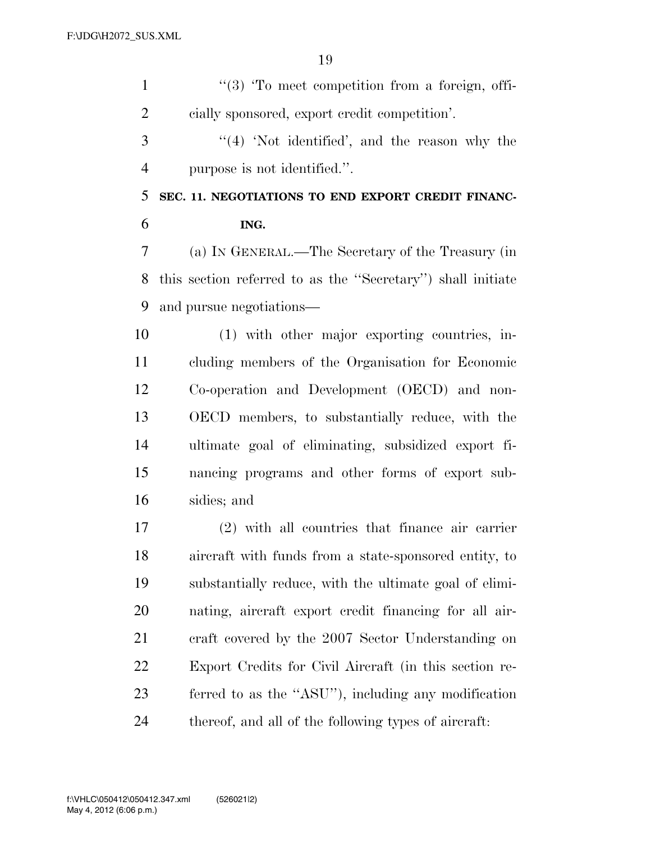| $\mathbf{1}$   | $\cdot$ (3) To meet competition from a foreign, offi-      |
|----------------|------------------------------------------------------------|
| $\overline{2}$ | cially sponsored, export credit competition'.              |
| 3              | $\lq(4)$ 'Not identified', and the reason why the          |
| $\overline{4}$ | purpose is not identified.".                               |
| 5              | SEC. 11. NEGOTIATIONS TO END EXPORT CREDIT FINANC-         |
| 6              | ING.                                                       |
| 7              | (a) IN GENERAL.—The Secretary of the Treasury (in          |
| 8              | this section referred to as the "Secretary" shall initiate |
| 9              | and pursue negotiations—                                   |
| 10             | (1) with other major exporting countries, in-              |
| 11             | cluding members of the Organisation for Economic           |
| 12             | Co-operation and Development (OECD) and non-               |
| 13             | OECD members, to substantially reduce, with the            |
| 14             | ultimate goal of eliminating, subsidized export fi-        |
| 15             | nancing programs and other forms of export sub-            |
| 16             | sidies; and                                                |
| 17             | $(2)$ with all countries that finance air carrier          |
| 18             | aircraft with funds from a state-sponsored entity, to      |
| 19             | substantially reduce, with the ultimate goal of elimi-     |
| 20             | nating, aircraft export credit financing for all air-      |
| 21             | eraft covered by the 2007 Sector Understanding on          |
| 22             | Export Credits for Civil Aircraft (in this section re-     |
| 23             | ferred to as the "ASU"), including any modification        |
| 24             | thereof, and all of the following types of aircraft:       |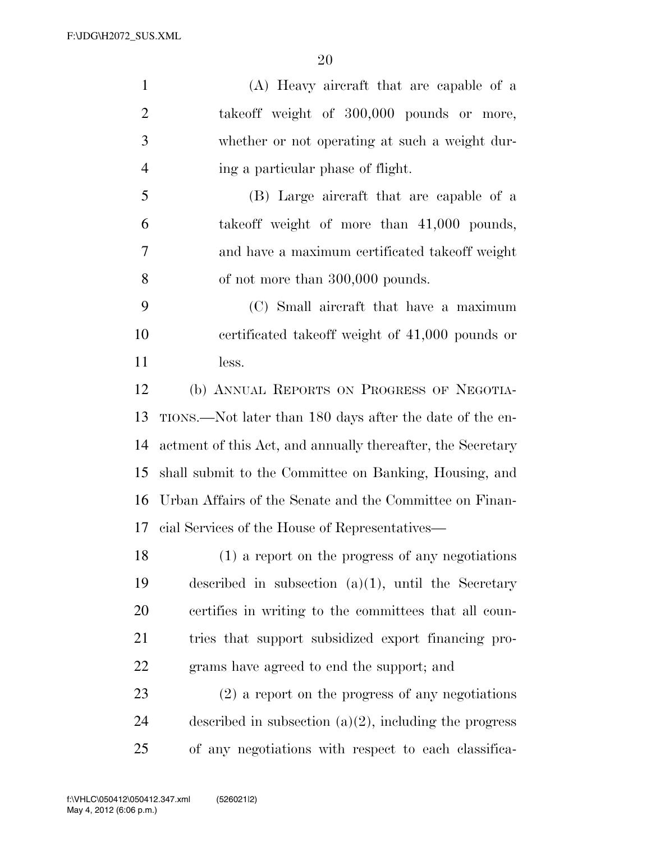(A) Heavy aircraft that are capable of a takeoff weight of 300,000 pounds or more, whether or not operating at such a weight dur- ing a particular phase of flight. (B) Large aircraft that are capable of a takeoff weight of more than 41,000 pounds, and have a maximum certificated takeoff weight of not more than 300,000 pounds. (C) Small aircraft that have a maximum

 certificated takeoff weight of 41,000 pounds or less.

 (b) ANNUAL REPORTS ON PROGRESS OF NEGOTIA- TIONS.—Not later than 180 days after the date of the en- actment of this Act, and annually thereafter, the Secretary shall submit to the Committee on Banking, Housing, and Urban Affairs of the Senate and the Committee on Finan-cial Services of the House of Representatives—

 (1) a report on the progress of any negotiations described in subsection (a)(1), until the Secretary certifies in writing to the committees that all coun- tries that support subsidized export financing pro-grams have agreed to end the support; and

 (2) a report on the progress of any negotiations 24 described in subsection  $(a)(2)$ , including the progress of any negotiations with respect to each classifica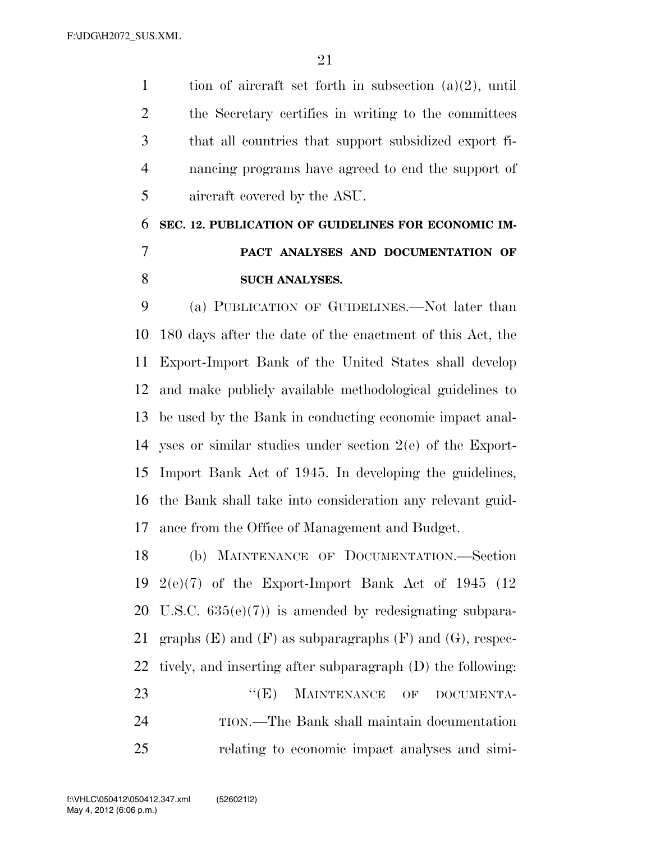tion of aircraft set forth in subsection (a)(2), until the Secretary certifies in writing to the committees that all countries that support subsidized export fi- nancing programs have agreed to end the support of aircraft covered by the ASU.

## **SEC. 12. PUBLICATION OF GUIDELINES FOR ECONOMIC IM- PACT ANALYSES AND DOCUMENTATION OF SUCH ANALYSES.**

 (a) PUBLICATION OF GUIDELINES.—Not later than 180 days after the date of the enactment of this Act, the Export-Import Bank of the United States shall develop and make publicly available methodological guidelines to be used by the Bank in conducting economic impact anal- yses or similar studies under section 2(e) of the Export- Import Bank Act of 1945. In developing the guidelines, the Bank shall take into consideration any relevant guid-ance from the Office of Management and Budget.

 (b) MAINTENANCE OF DOCUMENTATION.—Section 2(e)(7) of the Export-Import Bank Act of 1945 (12 U.S.C. 635(e)(7)) is amended by redesignating subpara-21 graphs  $(E)$  and  $(F)$  as subparagraphs  $(F)$  and  $(G)$ , respec- tively, and inserting after subparagraph (D) the following: 23 "(E) MAINTENANCE OF DOCUMENTA- TION.—The Bank shall maintain documentation relating to economic impact analyses and simi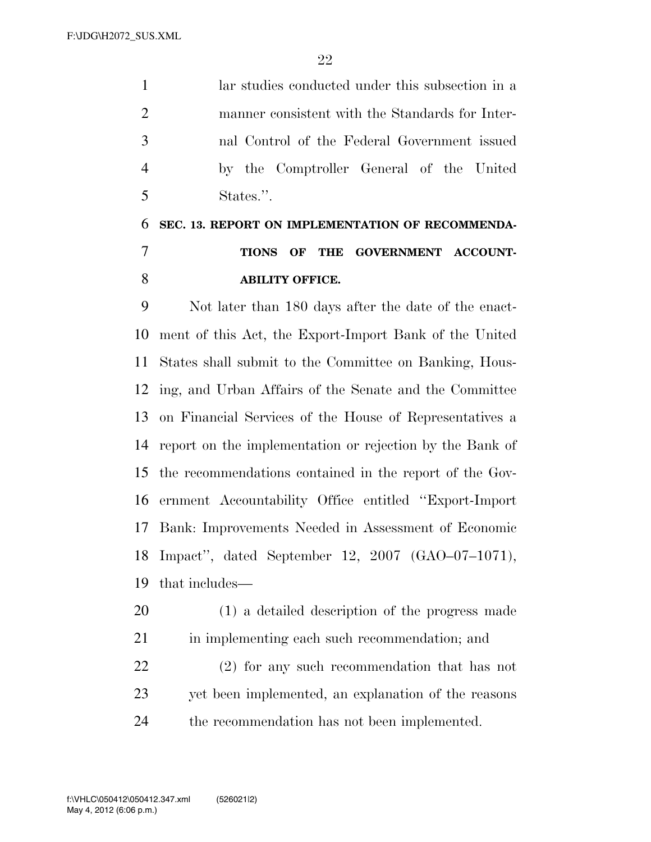lar studies conducted under this subsection in a manner consistent with the Standards for Inter- nal Control of the Federal Government issued by the Comptroller General of the United States.''.

## **SEC. 13. REPORT ON IMPLEMENTATION OF RECOMMENDA- TIONS OF THE GOVERNMENT ACCOUNT-ABILITY OFFICE.**

 Not later than 180 days after the date of the enact- ment of this Act, the Export-Import Bank of the United States shall submit to the Committee on Banking, Hous- ing, and Urban Affairs of the Senate and the Committee on Financial Services of the House of Representatives a report on the implementation or rejection by the Bank of the recommendations contained in the report of the Gov- ernment Accountability Office entitled ''Export-Import Bank: Improvements Needed in Assessment of Economic Impact'', dated September 12, 2007 (GAO–07–1071), that includes—

 (1) a detailed description of the progress made 21 in implementing each such recommendation; and

 (2) for any such recommendation that has not yet been implemented, an explanation of the reasons the recommendation has not been implemented.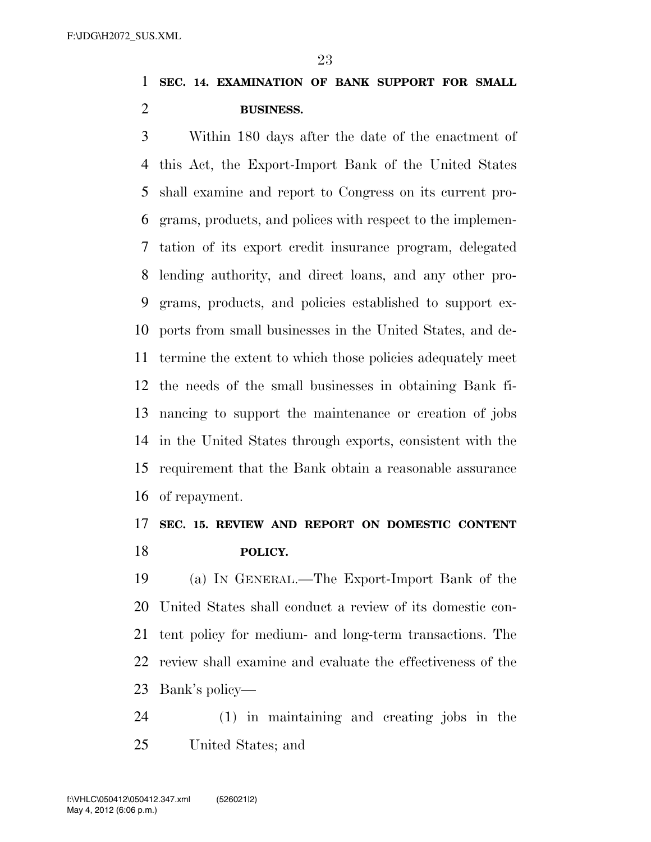### **SEC. 14. EXAMINATION OF BANK SUPPORT FOR SMALL BUSINESS.**

 Within 180 days after the date of the enactment of this Act, the Export-Import Bank of the United States shall examine and report to Congress on its current pro- grams, products, and polices with respect to the implemen- tation of its export credit insurance program, delegated lending authority, and direct loans, and any other pro- grams, products, and policies established to support ex- ports from small businesses in the United States, and de- termine the extent to which those policies adequately meet the needs of the small businesses in obtaining Bank fi- nancing to support the maintenance or creation of jobs in the United States through exports, consistent with the requirement that the Bank obtain a reasonable assurance of repayment.

### **SEC. 15. REVIEW AND REPORT ON DOMESTIC CONTENT POLICY.**

 (a) IN GENERAL.—The Export-Import Bank of the United States shall conduct a review of its domestic con- tent policy for medium- and long-term transactions. The review shall examine and evaluate the effectiveness of the Bank's policy—

 (1) in maintaining and creating jobs in the United States; and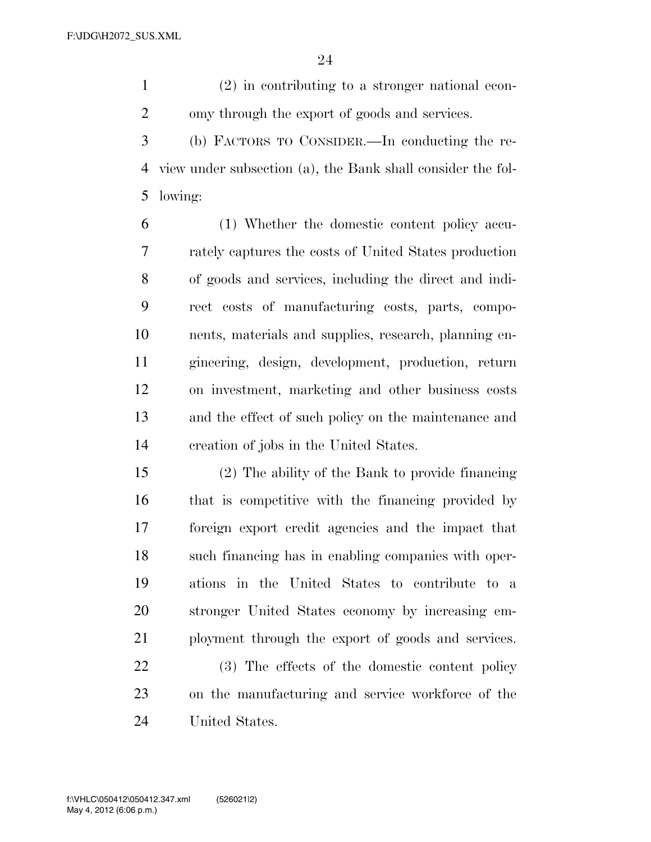(2) in contributing to a stronger national econ-omy through the export of goods and services.

 (b) FACTORS TO CONSIDER.—In conducting the re- view under subsection (a), the Bank shall consider the fol-lowing:

 (1) Whether the domestic content policy accu- rately captures the costs of United States production of goods and services, including the direct and indi- rect costs of manufacturing costs, parts, compo- nents, materials and supplies, research, planning en- gineering, design, development, production, return on investment, marketing and other business costs and the effect of such policy on the maintenance and creation of jobs in the United States.

 (2) The ability of the Bank to provide financing that is competitive with the financing provided by foreign export credit agencies and the impact that such financing has in enabling companies with oper- ations in the United States to contribute to a stronger United States economy by increasing em-ployment through the export of goods and services.

 (3) The effects of the domestic content policy on the manufacturing and service workforce of the United States.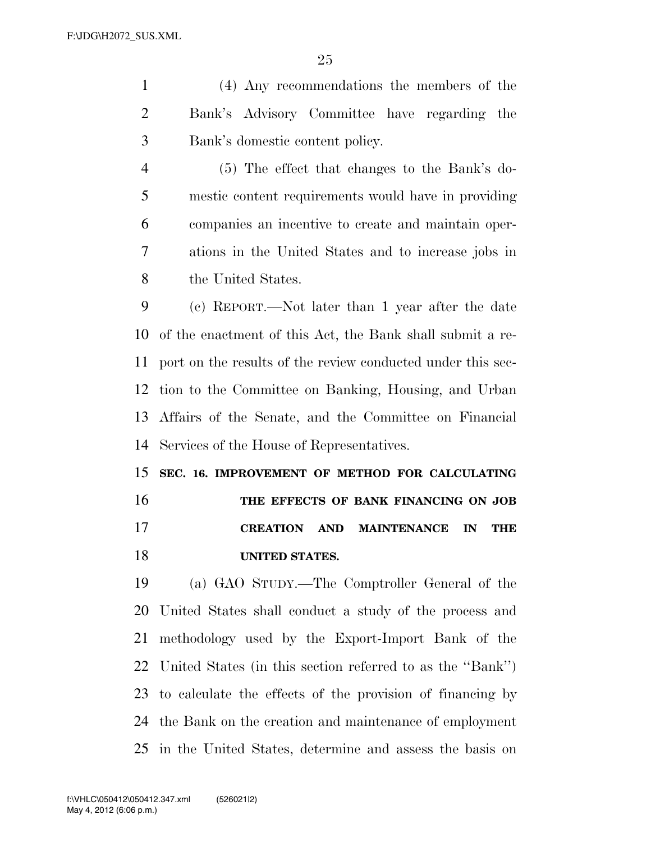(4) Any recommendations the members of the Bank's Advisory Committee have regarding the Bank's domestic content policy.

 (5) The effect that changes to the Bank's do- mestic content requirements would have in providing companies an incentive to create and maintain oper- ations in the United States and to increase jobs in the United States.

 (c) REPORT.—Not later than 1 year after the date of the enactment of this Act, the Bank shall submit a re- port on the results of the review conducted under this sec- tion to the Committee on Banking, Housing, and Urban Affairs of the Senate, and the Committee on Financial Services of the House of Representatives.

 **SEC. 16. IMPROVEMENT OF METHOD FOR CALCULATING THE EFFECTS OF BANK FINANCING ON JOB CREATION AND MAINTENANCE IN THE UNITED STATES.** 

 (a) GAO STUDY.—The Comptroller General of the United States shall conduct a study of the process and methodology used by the Export-Import Bank of the United States (in this section referred to as the ''Bank'') to calculate the effects of the provision of financing by the Bank on the creation and maintenance of employment in the United States, determine and assess the basis on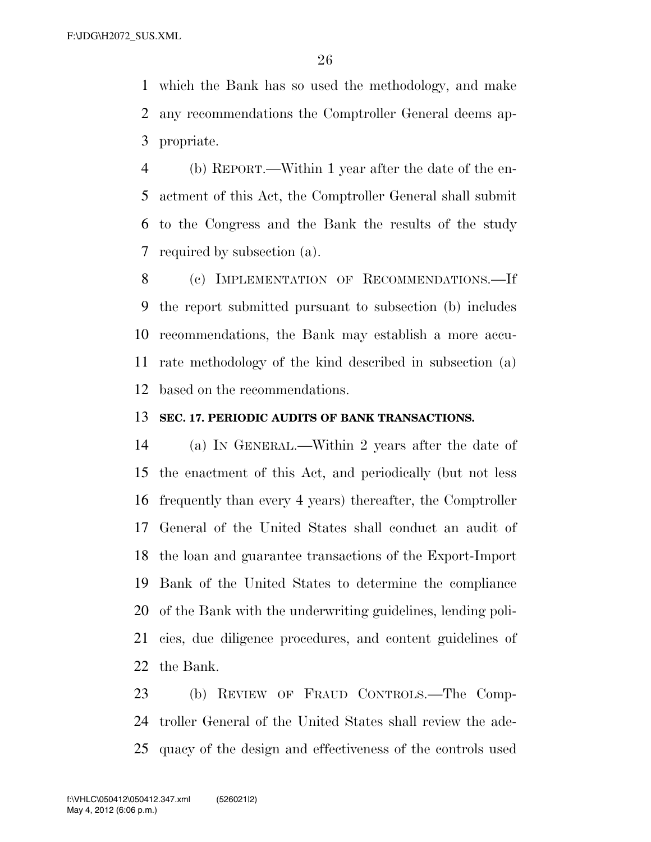which the Bank has so used the methodology, and make any recommendations the Comptroller General deems ap-propriate.

 (b) REPORT.—Within 1 year after the date of the en- actment of this Act, the Comptroller General shall submit to the Congress and the Bank the results of the study required by subsection (a).

8 (c) IMPLEMENTATION OF RECOMMENDATIONS. If the report submitted pursuant to subsection (b) includes recommendations, the Bank may establish a more accu- rate methodology of the kind described in subsection (a) based on the recommendations.

#### **SEC. 17. PERIODIC AUDITS OF BANK TRANSACTIONS.**

 (a) IN GENERAL.—Within 2 years after the date of the enactment of this Act, and periodically (but not less frequently than every 4 years) thereafter, the Comptroller General of the United States shall conduct an audit of the loan and guarantee transactions of the Export-Import Bank of the United States to determine the compliance of the Bank with the underwriting guidelines, lending poli- cies, due diligence procedures, and content guidelines of the Bank.

 (b) REVIEW OF FRAUD CONTROLS.—The Comp- troller General of the United States shall review the ade-quacy of the design and effectiveness of the controls used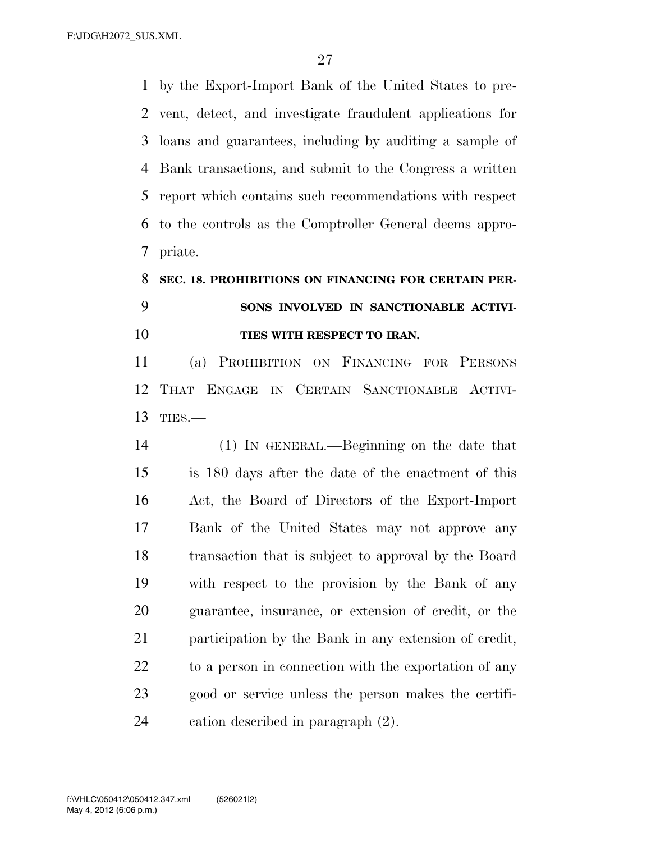F:\JDG\H2072\_SUS.XML

 by the Export-Import Bank of the United States to pre- vent, detect, and investigate fraudulent applications for loans and guarantees, including by auditing a sample of Bank transactions, and submit to the Congress a written report which contains such recommendations with respect to the controls as the Comptroller General deems appro-priate.

## **SEC. 18. PROHIBITIONS ON FINANCING FOR CERTAIN PER- SONS INVOLVED IN SANCTIONABLE ACTIVI-TIES WITH RESPECT TO IRAN.**

 (a) PROHIBITION ON FINANCING FOR PERSONS THAT ENGAGE IN CERTAIN SANCTIONABLE ACTIVI-TIES.—

 (1) IN GENERAL.—Beginning on the date that is 180 days after the date of the enactment of this Act, the Board of Directors of the Export-Import Bank of the United States may not approve any transaction that is subject to approval by the Board with respect to the provision by the Bank of any guarantee, insurance, or extension of credit, or the participation by the Bank in any extension of credit, 22 to a person in connection with the exportation of any good or service unless the person makes the certifi-cation described in paragraph (2).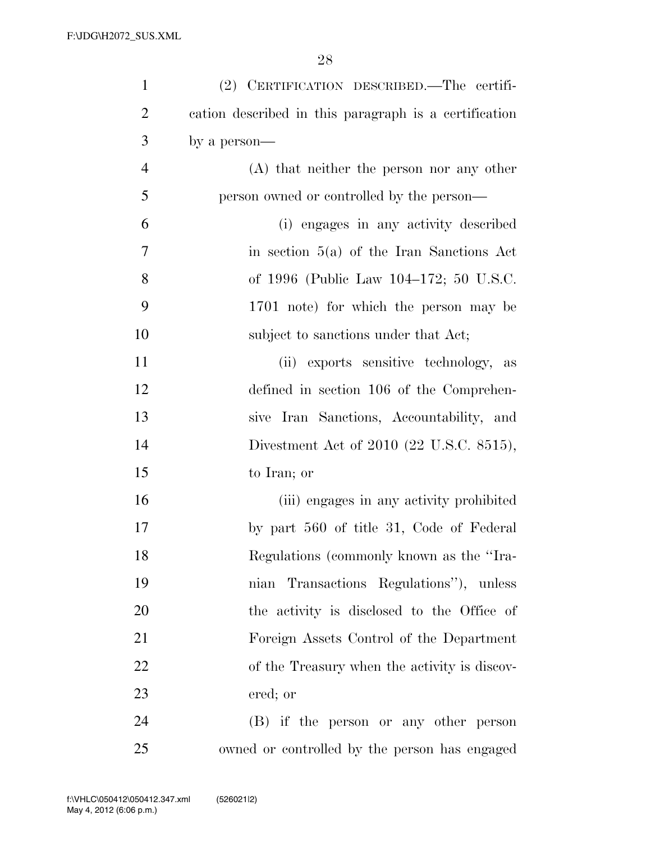| $\mathbf{1}$   | (2) CERTIFICATION DESCRIBED. The certifi-             |
|----------------|-------------------------------------------------------|
| $\overline{2}$ | cation described in this paragraph is a certification |
| 3              | by a person—                                          |
| $\overline{4}$ | $(A)$ that neither the person nor any other           |
| 5              | person owned or controlled by the person—             |
| 6              | (i) engages in any activity described                 |
| $\overline{7}$ | in section $5(a)$ of the Iran Sanctions Act           |
| 8              | of 1996 (Public Law 104–172; 50 U.S.C.                |
| 9              | 1701 note) for which the person may be                |
| 10             | subject to sanctions under that Act;                  |
| 11             | (ii) exports sensitive technology, as                 |
| 12             | defined in section 106 of the Comprehen-              |
| 13             | sive Iran Sanctions, Accountability, and              |
| 14             | Divestment Act of 2010 (22 U.S.C. 8515),              |
| 15             | to Iran; or                                           |
| 16             | (iii) engages in any activity prohibited              |
| 17             | by part 560 of title 31, Code of Federal              |
| 18             | Regulations (commonly known as the "Ira-              |
| 19             | nian Transactions Regulations"), unless               |
| 20             | the activity is disclosed to the Office of            |
| 21             | Foreign Assets Control of the Department              |
| 22             | of the Treasury when the activity is discov-          |
| 23             | ered; or                                              |
| 24             | (B) if the person or any other person                 |
| 25             | owned or controlled by the person has engaged         |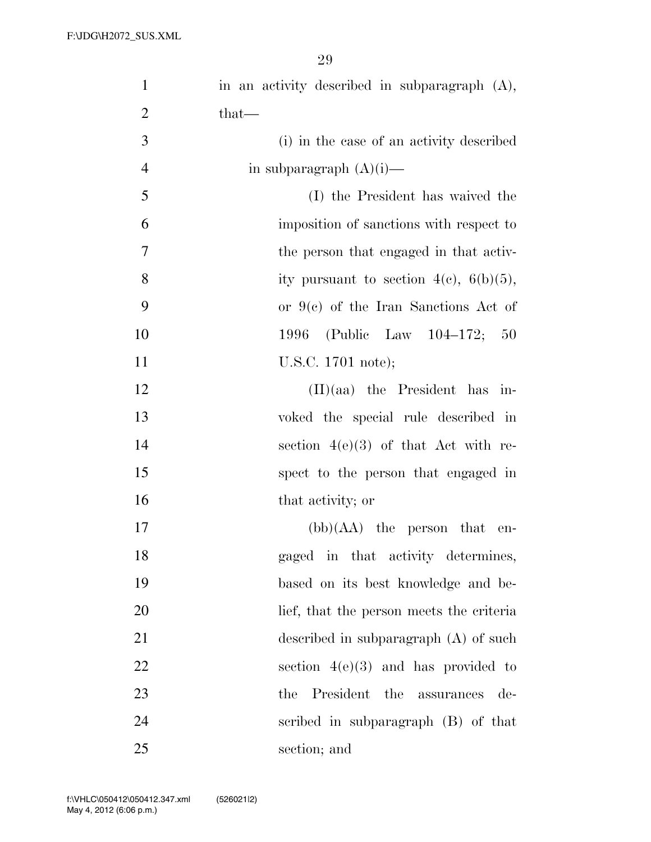| $\mathbf{1}$   |                                               |
|----------------|-----------------------------------------------|
|                | in an activity described in subparagraph (A), |
| $\overline{2}$ | that—                                         |
| 3              | (i) in the case of an activity described      |
| $\overline{4}$ | in subparagraph $(A)(i)$ —                    |
| 5              | (I) the President has waived the              |
| 6              | imposition of sanctions with respect to       |
| 7              | the person that engaged in that activ-        |
| 8              | ity pursuant to section $4(c)$ , $6(b)(5)$ ,  |
| 9              | or $9(c)$ of the Iran Sanctions Act of        |
| 10             | 1996 (Public Law 104–172; 50                  |
| 11             | U.S.C. 1701 note);                            |
| 12             | $(II)(aa)$ the President has in-              |
| 13             | voked the special rule described in           |
| 14             | section $4(e)(3)$ of that Act with re-        |
| 15             | spect to the person that engaged in           |
| 16             | that activity; or                             |
| 17             | $(bb)(AA)$ the person that en-                |
| 18             | gaged in that activity determines,            |
| 19             | based on its best knowledge and be-           |
| 20             | lief, that the person meets the criteria      |
| 21             | described in subparagraph $(A)$ of such       |
| 22             | section $4(e)(3)$ and has provided to         |
| 23             | President the<br>the<br>assurances<br>de-     |
| 24             | scribed in subparagraph (B) of that           |
| 25             | section; and                                  |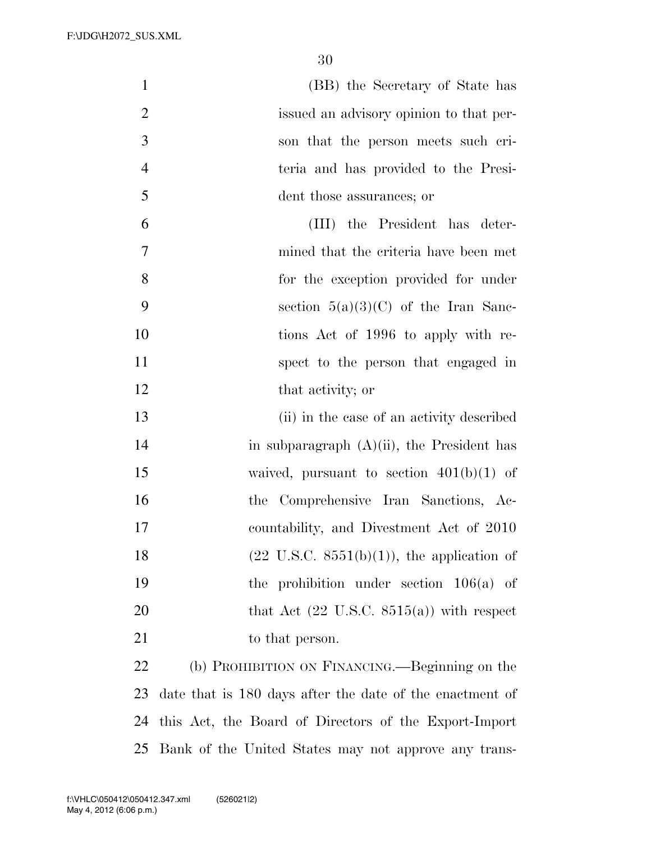(BB) the Secretary of State has issued an advisory opinion to that per- son that the person meets such cri- teria and has provided to the Presi- dent those assurances; or (III) the President has deter-

 mined that the criteria have been met for the exception provided for under 9 section  $5(a)(3)(C)$  of the Iran Sanc-

10 tions Act of 1996 to apply with re-spect to the person that engaged in

12 that activity; or (ii) in the case of an activity described

14 in subparagraph  $(A)(ii)$ , the President has waived, pursuant to section 401(b)(1) of the Comprehensive Iran Sanctions, Ac- countability, and Divestment Act of 2010 18 (22 U.S.C.  $8551(b)(1)$ ), the application of the prohibition under section 106(a) of 20 that Act  $(22 \text{ U.S.C. } 8515(a))$  with respect 21 to that person.

 (b) PROHIBITION ON FINANCING.—Beginning on the date that is 180 days after the date of the enactment of this Act, the Board of Directors of the Export-Import Bank of the United States may not approve any trans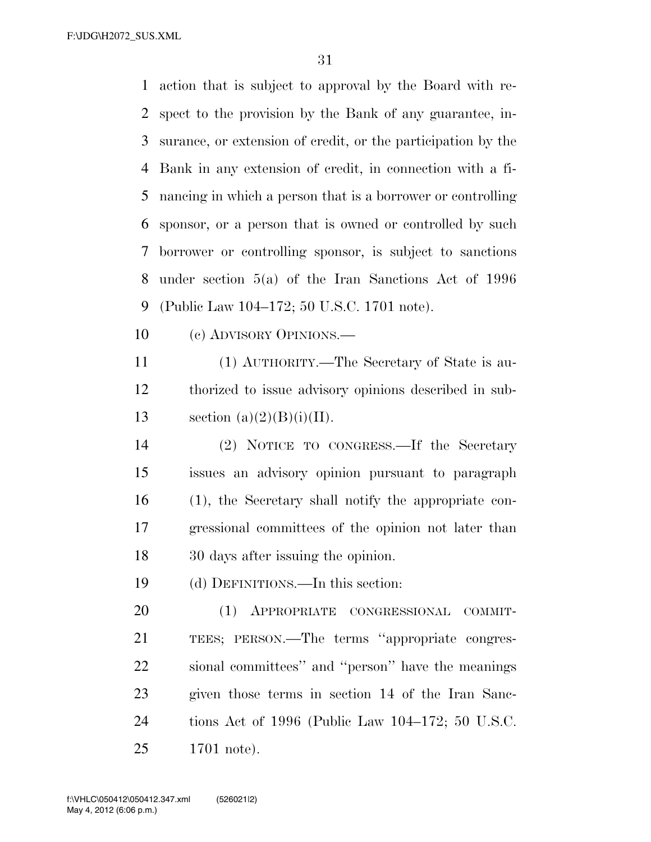F:\JDG\H2072\_SUS.XML

 action that is subject to approval by the Board with re- spect to the provision by the Bank of any guarantee, in- surance, or extension of credit, or the participation by the Bank in any extension of credit, in connection with a fi- nancing in which a person that is a borrower or controlling sponsor, or a person that is owned or controlled by such borrower or controlling sponsor, is subject to sanctions under section 5(a) of the Iran Sanctions Act of 1996 (Public Law 104–172; 50 U.S.C. 1701 note).

(c) ADVISORY OPINIONS.—

 (1) AUTHORITY.—The Secretary of State is au- thorized to issue advisory opinions described in sub-13 section  $(a)(2)(B)(i)(II)$ .

 (2) NOTICE TO CONGRESS.—If the Secretary issues an advisory opinion pursuant to paragraph (1), the Secretary shall notify the appropriate con- gressional committees of the opinion not later than 30 days after issuing the opinion.

(d) DEFINITIONS.—In this section:

 (1) APPROPRIATE CONGRESSIONAL COMMIT- TEES; PERSON.—The terms ''appropriate congres- sional committees'' and ''person'' have the meanings given those terms in section 14 of the Iran Sanc- tions Act of 1996 (Public Law 104–172; 50 U.S.C. 1701 note).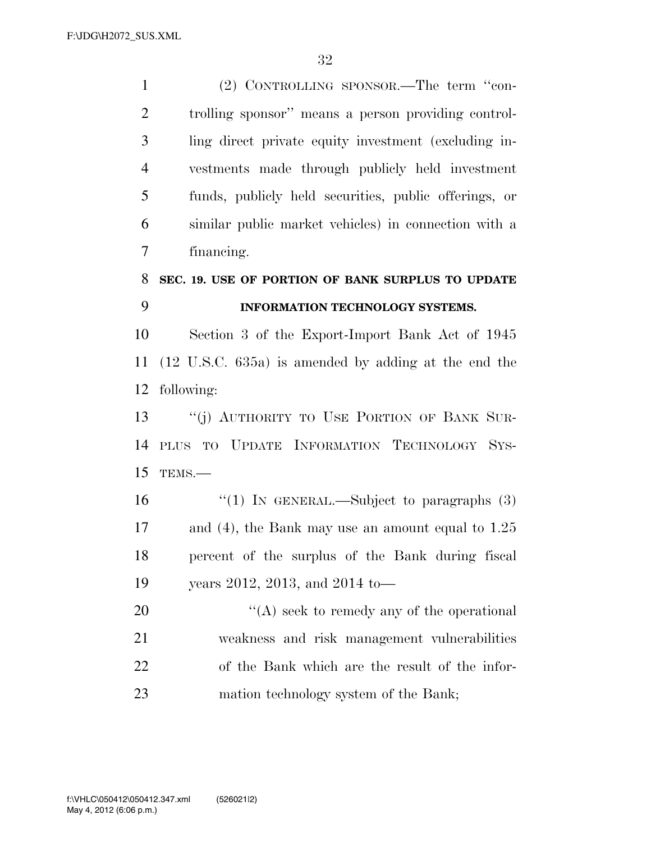(2) CONTROLLING SPONSOR.—The term ''con- trolling sponsor'' means a person providing control- ling direct private equity investment (excluding in- vestments made through publicly held investment funds, publicly held securities, public offerings, or similar public market vehicles) in connection with a financing.

### **SEC. 19. USE OF PORTION OF BANK SURPLUS TO UPDATE INFORMATION TECHNOLOGY SYSTEMS.**

 Section 3 of the Export-Import Bank Act of 1945 (12 U.S.C. 635a) is amended by adding at the end the following:

13 "(i) AUTHORITY TO USE PORTION OF BANK SUR- PLUS TO UPDATE INFORMATION TECHNOLOGY SYS-TEMS.—

 $\frac{1}{1}$  In GENERAL.—Subject to paragraphs (3) and (4), the Bank may use an amount equal to 1.25 percent of the surplus of the Bank during fiscal years 2012, 2013, and 2014 to—

 $\langle (A) \rangle$  seek to remedy any of the operational weakness and risk management vulnerabilities of the Bank which are the result of the infor-mation technology system of the Bank;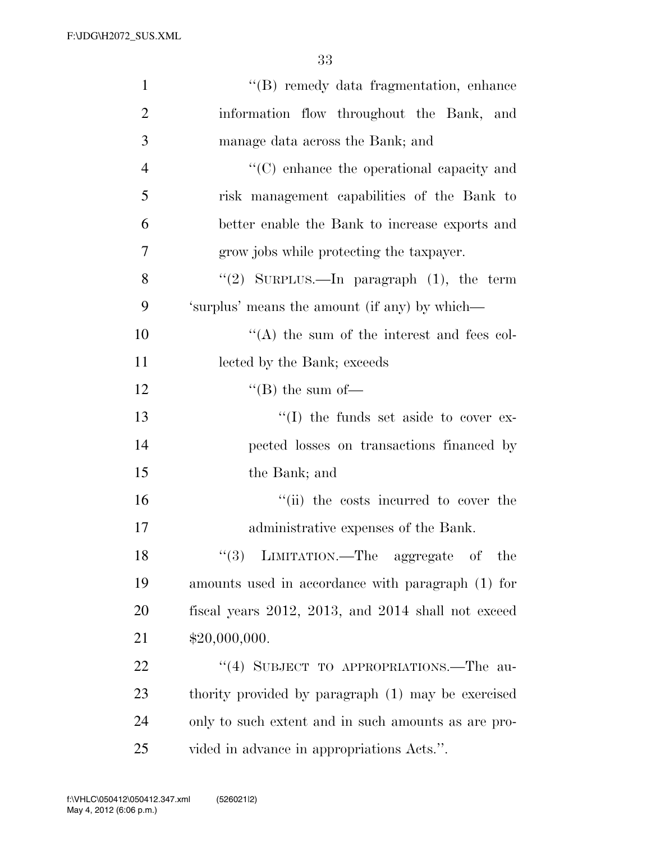| $\mathbf{1}$   | "(B) remedy data fragmentation, enhance             |
|----------------|-----------------------------------------------------|
| $\overline{2}$ | information flow throughout the Bank, and           |
| 3              | manage data across the Bank; and                    |
| $\overline{4}$ | "(C) enhance the operational capacity and           |
| 5              | risk management capabilities of the Bank to         |
| 6              | better enable the Bank to increase exports and      |
| 7              | grow jobs while protecting the taxpayer.            |
| 8              | "(2) SURPLUS.—In paragraph $(1)$ , the term         |
| 9              | 'surplus' means the amount (if any) by which—       |
| 10             | $\lq\lq$ the sum of the interest and fees col-      |
| 11             | lected by the Bank; exceeds                         |
| 12             | "(B) the sum of-                                    |
| 13             | "(I) the funds set aside to cover ex-               |
| 14             | pected losses on transactions financed by           |
| 15             | the Bank; and                                       |
| 16             | "(ii) the costs incurred to cover the               |
| 17             | administrative expenses of the Bank.                |
| 18             | (3)<br>LIMITATION.—The aggregate of the             |
| 19             | amounts used in accordance with paragraph (1) for   |
| 20             | fiscal years 2012, 2013, and 2014 shall not exceed  |
| 21             | \$20,000,000.                                       |
| 22             | "(4) SUBJECT TO APPROPRIATIONS.—The au-             |
| 23             | thority provided by paragraph (1) may be exercised  |
| 24             | only to such extent and in such amounts as are pro- |
| 25             | vided in advance in appropriations Acts.".          |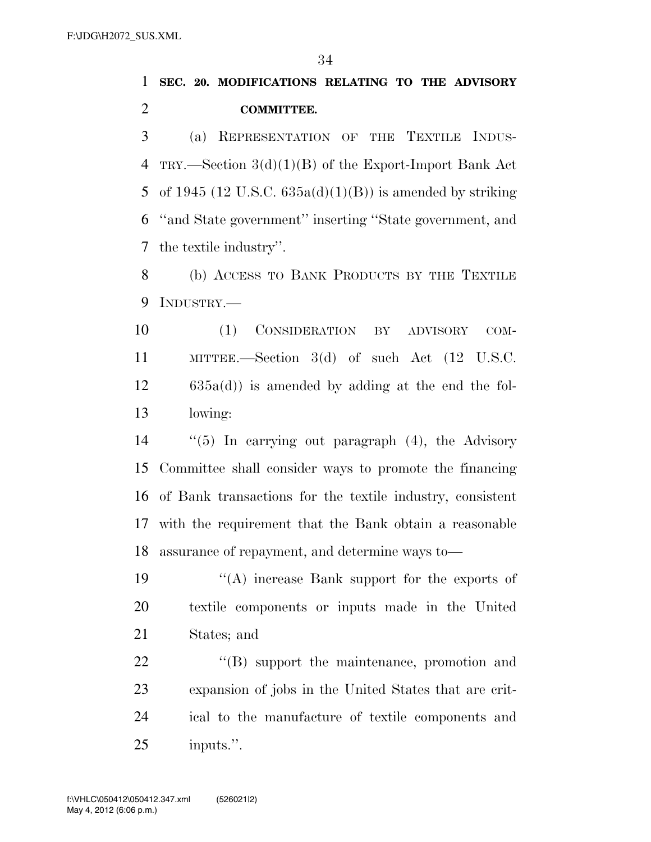**SEC. 20. MODIFICATIONS RELATING TO THE ADVISORY COMMITTEE.** 

 (a) REPRESENTATION OF THE TEXTILE INDUS- TRY.—Section 3(d)(1)(B) of the Export-Import Bank Act 5 of 1945 (12 U.S.C.  $635a(d)(1)(B)$ ) is amended by striking ''and State government'' inserting ''State government, and the textile industry''.

 (b) ACCESS TO BANK PRODUCTS BY THE TEXTILE INDUSTRY.—

 (1) CONSIDERATION BY ADVISORY COM- MITTEE.—Section 3(d) of such Act (12 U.S.C. 635a(d)) is amended by adding at the end the fol-lowing:

 ''(5) In carrying out paragraph (4), the Advisory Committee shall consider ways to promote the financing of Bank transactions for the textile industry, consistent with the requirement that the Bank obtain a reasonable assurance of repayment, and determine ways to—

19  $\langle (A) \rangle$  increase Bank support for the exports of textile components or inputs made in the United States; and

 $\langle$  (B) support the maintenance, promotion and expansion of jobs in the United States that are crit- ical to the manufacture of textile components and inputs.''.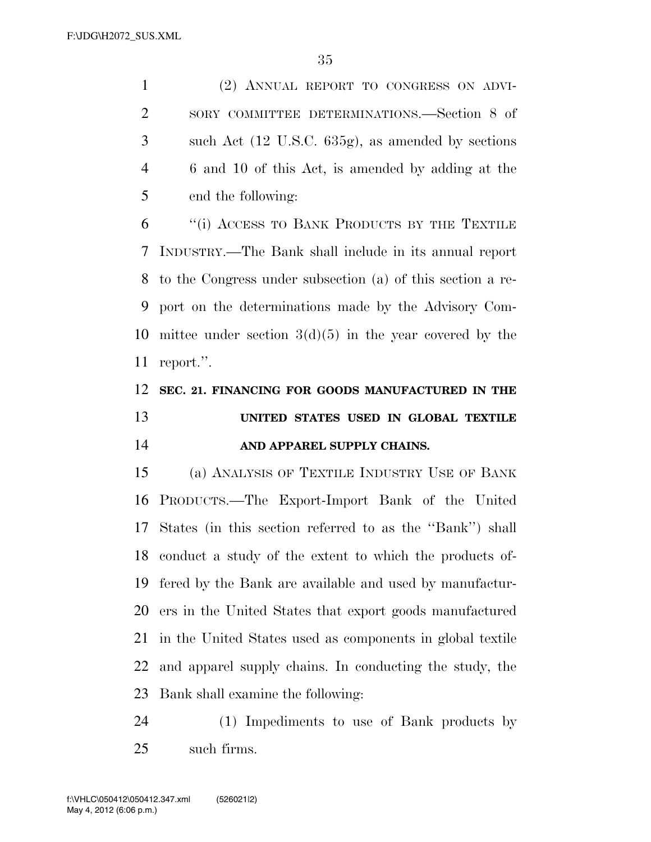(2) ANNUAL REPORT TO CONGRESS ON ADVI- SORY COMMITTEE DETERMINATIONS.—Section 8 of such Act (12 U.S.C. 635g), as amended by sections 6 and 10 of this Act, is amended by adding at the end the following:

 ''(i) ACCESS TO BANK PRODUCTS BY THE TEXTILE INDUSTRY.—The Bank shall include in its annual report to the Congress under subsection (a) of this section a re- port on the determinations made by the Advisory Com-10 mittee under section  $3(d)(5)$  in the year covered by the report.''.

## **SEC. 21. FINANCING FOR GOODS MANUFACTURED IN THE UNITED STATES USED IN GLOBAL TEXTILE AND APPAREL SUPPLY CHAINS.**

 (a) ANALYSIS OF TEXTILE INDUSTRY USE OF BANK PRODUCTS.—The Export-Import Bank of the United States (in this section referred to as the ''Bank'') shall conduct a study of the extent to which the products of- fered by the Bank are available and used by manufactur- ers in the United States that export goods manufactured in the United States used as components in global textile and apparel supply chains. In conducting the study, the Bank shall examine the following:

 (1) Impediments to use of Bank products by such firms.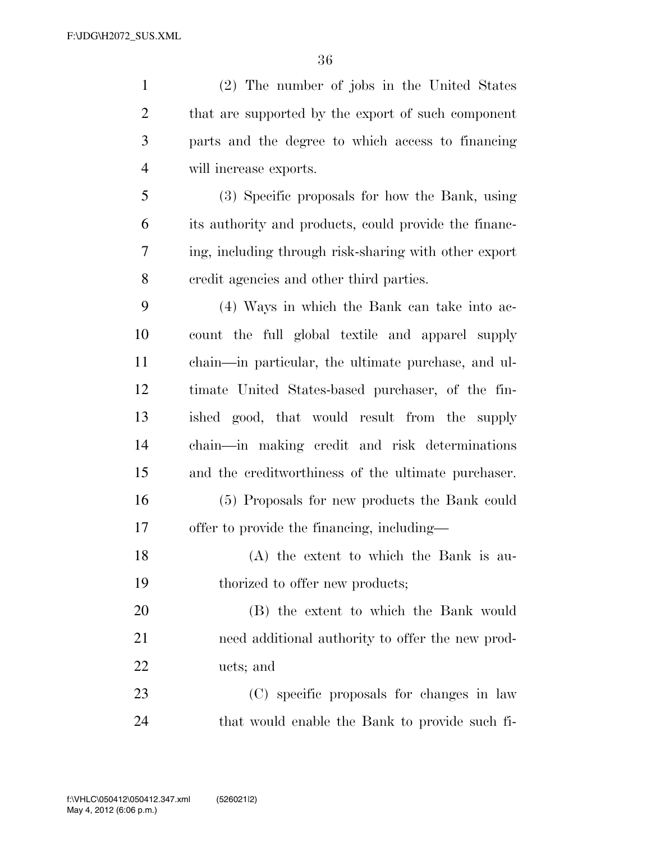(2) The number of jobs in the United States that are supported by the export of such component parts and the degree to which access to financing will increase exports. (3) Specific proposals for how the Bank, using its authority and products, could provide the financ- ing, including through risk-sharing with other export credit agencies and other third parties. (4) Ways in which the Bank can take into ac-

 count the full global textile and apparel supply chain—in particular, the ultimate purchase, and ul- timate United States-based purchaser, of the fin- ished good, that would result from the supply chain—in making credit and risk determinations and the creditworthiness of the ultimate purchaser. (5) Proposals for new products the Bank could offer to provide the financing, including— (A) the extent to which the Bank is au-thorized to offer new products;

 (B) the extent to which the Bank would need additional authority to offer the new prod-ucts; and

23 (C) specific proposals for changes in law that would enable the Bank to provide such fi-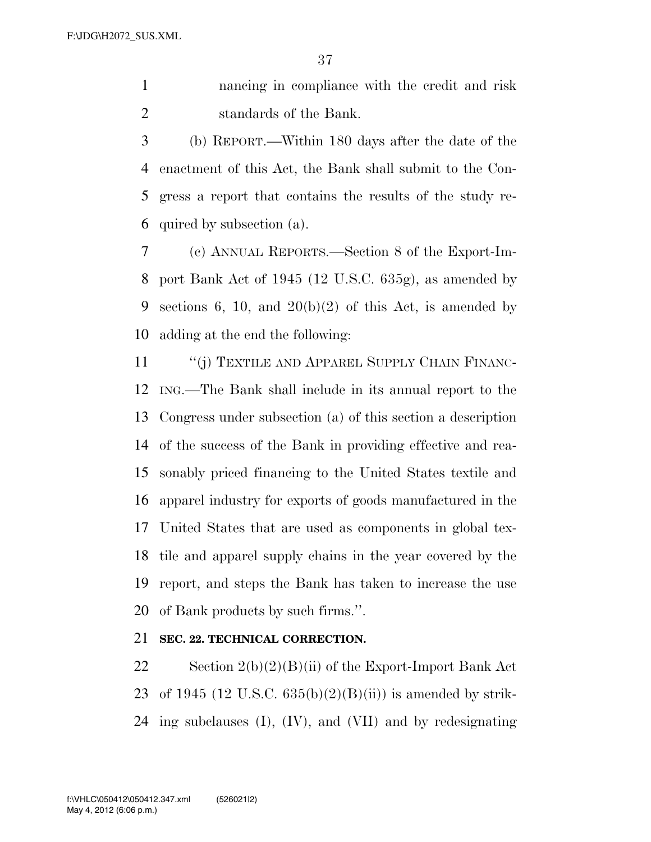nancing in compliance with the credit and risk standards of the Bank.

 (b) REPORT.—Within 180 days after the date of the enactment of this Act, the Bank shall submit to the Con- gress a report that contains the results of the study re-quired by subsection (a).

 (c) ANNUAL REPORTS.—Section 8 of the Export-Im- port Bank Act of 1945 (12 U.S.C. 635g), as amended by 9 sections 6, 10, and  $20(b)(2)$  of this Act, is amended by adding at the end the following:

11 "(j) TEXTILE AND APPAREL SUPPLY CHAIN FINANC- ING.—The Bank shall include in its annual report to the Congress under subsection (a) of this section a description of the success of the Bank in providing effective and rea- sonably priced financing to the United States textile and apparel industry for exports of goods manufactured in the United States that are used as components in global tex- tile and apparel supply chains in the year covered by the report, and steps the Bank has taken to increase the use of Bank products by such firms.''.

#### **SEC. 22. TECHNICAL CORRECTION.**

22 Section  $2(b)(2)(B)(ii)$  of the Export-Import Bank Act 23 of 1945 (12 U.S.C.  $635(b)(2)(B)(ii)$ ) is amended by strik-ing subclauses (I), (IV), and (VII) and by redesignating